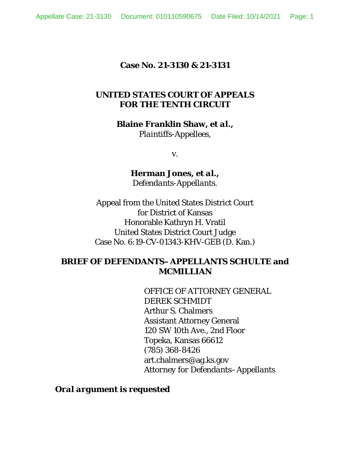### **Case No. 21-3130 & 21-3131**

### **UNITED STATES COURT OF APPEALS FOR THE TENTH CIRCUIT**

**Blaine Franklin Shaw,** *et al***.,** 

*Plaintiffs-Appellees*,

v.

**Herman Jones,** *et al***.,**  *Defendants-Appellants*.

Appeal from the United States District Court for District of Kansas Honorable Kathryn H. Vratil United States District Court Judge Case No. 6:19-CV-01343-KHV-GEB (D. Kan.)

### **BRIEF OF DEFENDANTS–APPELLANTS SCHULTE and MCMILLIAN**

OFFICE OF ATTORNEY GENERAL DEREK SCHMIDT Arthur S. Chalmers Assistant Attorney General 120 SW 10th Ave., 2nd Floor Topeka, Kansas 66612 (785) 368-8426 art.chalmers@ag.ks.gov *Attorney for Defendants–Appellants* 

*Oral argument is requested*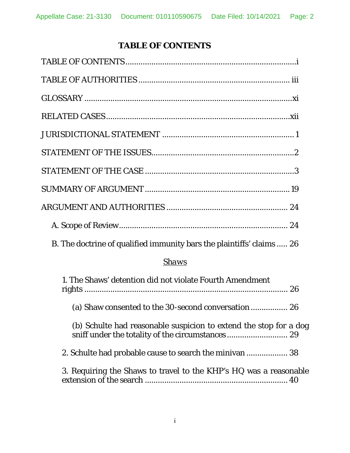# **TABLE OF CONTENTS**

| B. The doctrine of qualified immunity bars the plaintiffs' claims  26 |
|-----------------------------------------------------------------------|

### *Shaws*

| 1. The Shaws' detention did not violate Fourth Amendment          |
|-------------------------------------------------------------------|
| (a) Shaw consented to the 30-second conversation 26               |
| (b) Schulte had reasonable suspicion to extend the stop for a dog |
|                                                                   |
| 3. Requiring the Shaws to travel to the KHP's HQ was a reasonable |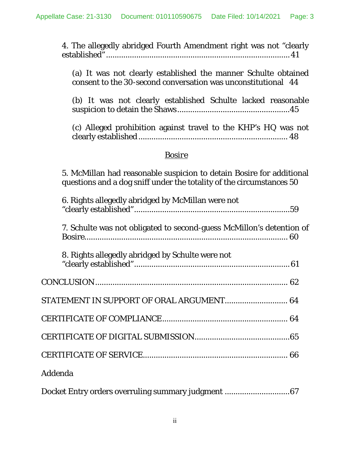4. The allegedly abridged Fourth Amendment right was not "clearly established" ..................................................................................... 41

(a) It was not clearly established the manner Schulte obtained consent to the 30-second conversation was unconstitutional 44

(b) It was not clearly established Schulte lacked reasonable suspicion to detain the Shaws .................................................... 45

(c) Alleged prohibition against travel to the KHP's HQ was not clearly established ..................................................................... 48

### *Bosire*

5. McMillan had reasonable suspicion to detain Bosire for additional questions and a dog sniff under the totality of the circumstances 50

| 6. Rights allegedly abridged by McMillan were not                    |  |
|----------------------------------------------------------------------|--|
| 7. Schulte was not obligated to second-guess McMillon's detention of |  |
| 8. Rights allegedly abridged by Schulte were not                     |  |
|                                                                      |  |
| STATEMENT IN SUPPORT OF ORAL ARGUMENT 64                             |  |
|                                                                      |  |
|                                                                      |  |
|                                                                      |  |
| Addenda                                                              |  |

|  |  | Docket Entry orders overruling summary judgment  67 |
|--|--|-----------------------------------------------------|
|  |  |                                                     |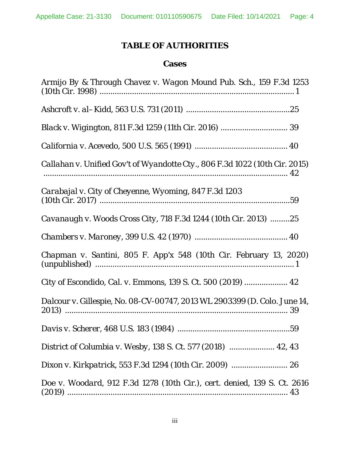## **TABLE OF AUTHORITIES**

### **Cases**

| Armijo By & Through Chavez v. Wagon Mound Pub. Sch., 159 F.3d 1253          |
|-----------------------------------------------------------------------------|
|                                                                             |
|                                                                             |
|                                                                             |
| Callahan v. Unified Gov't of Wyandotte Cty., 806 F.3d 1022 (10th Cir. 2015) |
| Carabajal v. City of Cheyenne, Wyoming, 847 F.3d 1203                       |
| Cavanaugh v. Woods Cross City, 718 F.3d 1244 (10th Cir. 2013) 25            |
|                                                                             |
| Chapman v. Santini, 805 F. App'x 548 (10th Cir. February 13, 2020)          |
| City of Escondido, Cal. v. Emmons, 139 S. Ct. 500 (2019)  42                |
| Dalcour v. Gillespie, No. 08-CV-00747, 2013 WL 2903399 (D. Colo. June 14,   |
|                                                                             |
| District of Columbia v. Wesby, 138 S. Ct. 577 (2018)  42, 43                |
|                                                                             |
| Doe v. Woodard, 912 F.3d 1278 (10th Cir.), cert. denied, 139 S. Ct. 2616    |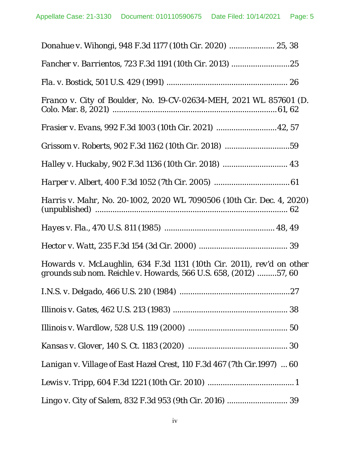| Franco v. City of Boulder, No. 19-CV-02634-MEH, 2021 WL 857601 (D.                                                                        |
|-------------------------------------------------------------------------------------------------------------------------------------------|
| Frasier v. Evans, 992 F.3d 1003 (10th Cir. 2021)  42, 57                                                                                  |
| Grissom v. Roberts, 902 F.3d 1162 (10th Cir. 2018) 59                                                                                     |
|                                                                                                                                           |
|                                                                                                                                           |
| Harris v. Mahr, No. 20-1002, 2020 WL 7090506 (10th Cir. Dec. 4, 2020)                                                                     |
|                                                                                                                                           |
|                                                                                                                                           |
| Howards v. McLaughlin, 634 F.3d 1131 (10th Cir. 2011), rev'd on other<br>grounds sub nom. Reichle v. Howards, 566 U.S. 658, (2012) 57, 60 |
|                                                                                                                                           |
|                                                                                                                                           |
|                                                                                                                                           |
|                                                                                                                                           |
| Lanigan v. Village of East Hazel Crest, 110 F.3d 467 (7th Cir.1997)  60                                                                   |
|                                                                                                                                           |
|                                                                                                                                           |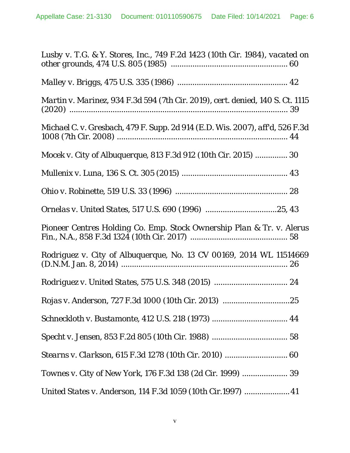| Lusby v. T.G. & Y. Stores, Inc., 749 F.2d 1423 (10th Cir. 1984), vacated on    |
|--------------------------------------------------------------------------------|
|                                                                                |
| Martin v. Marinez, 934 F.3d 594 (7th Cir. 2019), cert. denied, 140 S. Ct. 1115 |
| Michael C. v. Gresbach, 479 F. Supp. 2d 914 (E.D. Wis. 2007), aff'd, 526 F.3d  |
| Mocek v. City of Albuquerque, 813 F.3d 912 (10th Cir. 2015)  30                |
|                                                                                |
|                                                                                |
|                                                                                |
| Pioneer Centres Holding Co. Emp. Stock Ownership Plan & Tr. v. Alerus          |
| Rodriguez v. City of Albuquerque, No. 13 CV 00169, 2014 WL 11514669            |
|                                                                                |
|                                                                                |
|                                                                                |
|                                                                                |
| Stearns v. Clarkson, 615 F.3d 1278 (10th Cir. 2010)  60                        |
|                                                                                |
| United States v. Anderson, 114 F.3d 1059 (10th Cir.1997)  41                   |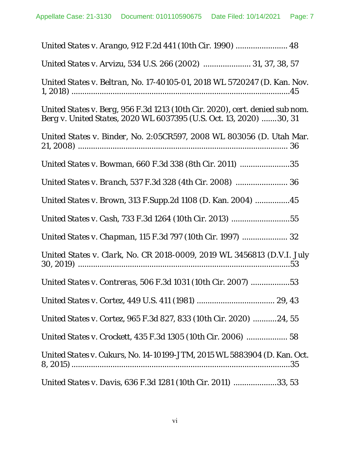| United States v. Arango, 912 F.2d 441 (10th Cir. 1990)  48                                                                                         |
|----------------------------------------------------------------------------------------------------------------------------------------------------|
| United States v. Arvizu, 534 U.S. 266 (2002)  31, 37, 38, 57                                                                                       |
| United States v. Beltran, No. 17-40105-01, 2018 WL 5720247 (D. Kan. Nov.                                                                           |
| United States v. Berg, 956 F.3d 1213 (10th Cir. 2020), cert. denied sub nom.<br>Berg v. United States, 2020 WL 6037395 (U.S. Oct. 13, 2020) 30, 31 |
| United States v. Binder, No. 2:05CR597, 2008 WL 803056 (D. Utah Mar.                                                                               |
| United States v. Bowman, 660 F.3d 338 (8th Cir. 2011) 35                                                                                           |
|                                                                                                                                                    |
| United States v. Brown, 313 F.Supp.2d 1108 (D. Kan. 2004) 45                                                                                       |
| United States v. Cash, 733 F.3d 1264 (10th Cir. 2013) 55                                                                                           |
|                                                                                                                                                    |
| United States v. Clark, No. CR 2018-0009, 2019 WL 3456813 (D.V.I. July                                                                             |
| United States v. Contreras, 506 F.3d 1031 (10th Cir. 2007) 53                                                                                      |
|                                                                                                                                                    |
| United States v. Cortez, 965 F.3d 827, 833 (10th Cir. 2020) 24, 55                                                                                 |
| United States v. Crockett, 435 F.3d 1305 (10th Cir. 2006)  58                                                                                      |
| United States v. Cukurs, No. 14-10199-JTM, 2015 WL 5883904 (D. Kan. Oct.                                                                           |
| United States v. Davis, 636 F.3d 1281 (10th Cir. 2011) 33, 53                                                                                      |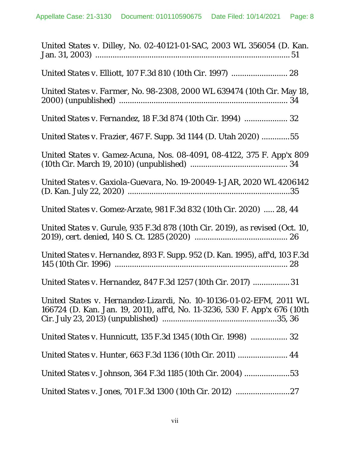| United States v. Dilley, No. 02-40121-01-SAC, 2003 WL 356054 (D. Kan.                                                                             |
|---------------------------------------------------------------------------------------------------------------------------------------------------|
|                                                                                                                                                   |
| United States v. Farmer, No. 98-2308, 2000 WL 639474 (10th Cir. May 18,                                                                           |
| United States v. Fernandez, 18 F.3d 874 (10th Cir. 1994)  32                                                                                      |
| United States v. Frazier, 467 F. Supp. 3d 1144 (D. Utah 2020) 55                                                                                  |
| United States v. Gamez-Acuna, Nos. 08-4091, 08-4122, 375 F. App'x 809                                                                             |
| United States v. Gaxiola-Guevara, No. 19-20049-1-JAR, 2020 WL 4206142                                                                             |
| United States v. Gomez-Arzate, 981 F.3d 832 (10th Cir. 2020)  28, 44                                                                              |
| United States v. Gurule, 935 F.3d 878 (10th Cir. 2019), as revised (Oct. 10,                                                                      |
| United States v. Hernandez, 893 F. Supp. 952 (D. Kan. 1995), aff'd, 103 F.3d                                                                      |
| United States v. Hernandez, 847 F.3d 1257 (10th Cir. 2017) 31                                                                                     |
| United States v. Hernandez-Lizardi, No. 10-10136-01-02-EFM, 2011 WL<br>166724 (D. Kan. Jan. 19, 2011), aff'd, No. 11-3236, 530 F. App'x 676 (10th |
| United States v. Hunnicutt, 135 F.3d 1345 (10th Cir. 1998)  32                                                                                    |
| United States v. Hunter, 663 F.3d 1136 (10th Cir. 2011)  44                                                                                       |
| United States v. Johnson, 364 F.3d 1185 (10th Cir. 2004) 53                                                                                       |
|                                                                                                                                                   |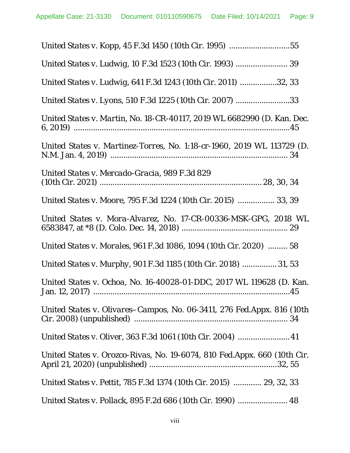| United States v. Kopp, 45 F.3d 1450 (10th Cir. 1995) 55                   |
|---------------------------------------------------------------------------|
| United States v. Ludwig, 10 F.3d 1523 (10th Cir. 1993)  39                |
| United States v. Ludwig, 641 F.3d 1243 (10th Cir. 2011) 32, 33            |
| United States v. Lyons, 510 F.3d 1225 (10th Cir. 2007) 33                 |
| United States v. Martin, No. 18-CR-40117, 2019 WL 6682990 (D. Kan. Dec.   |
| United States v. Martinez-Torres, No. 1:18-cr-1960, 2019 WL 113729 (D.    |
| United States v. Mercado-Gracia, 989 F.3d 829                             |
| United States v. Moore, 795 F.3d 1224 (10th Cir. 2015)  33, 39            |
| United States v. Mora-Alvarez, No. 17-CR-00336-MSK-GPG, 2018 WL           |
| United States v. Morales, 961 F.3d 1086, 1094 (10th Cir. 2020)  58        |
| United States v. Murphy, 901 F.3d 1185 (10th Cir. 2018)  31, 53           |
| United States v. Ochoa, No. 16-40028-01-DDC, 2017 WL 119628 (D. Kan.      |
| United States v. Olivares–Campos, No. 06-3411, 276 Fed.Appx. 816 (10th    |
|                                                                           |
| United States v. Orozco-Rivas, No. 19-6074, 810 Fed. Appx. 660 (10th Cir. |
| United States v. Pettit, 785 F.3d 1374 (10th Cir. 2015)  29, 32, 33       |
|                                                                           |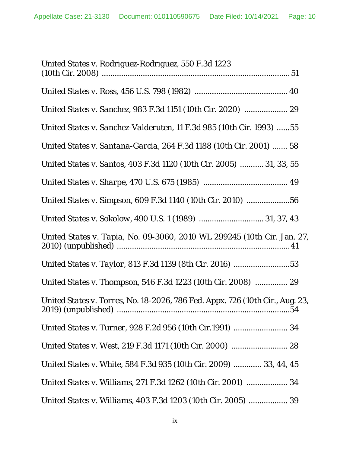| United States v. Rodriguez-Rodriguez, 550 F.3d 1223                           |
|-------------------------------------------------------------------------------|
|                                                                               |
|                                                                               |
| United States v. Sanchez-Valderuten, 11 F.3d 985 (10th Cir. 1993) 55          |
| United States v. Santana-Garcia, 264 F.3d 1188 (10th Cir. 2001)  58           |
| United States v. Santos, 403 F.3d 1120 (10th Cir. 2005)  31, 33, 55           |
|                                                                               |
| United States v. Simpson, 609 F.3d 1140 (10th Cir. 2010) 56                   |
| United States v. Sokolow, 490 U.S. 1 (1989)  31, 37, 43                       |
| United States v. Tapia, No. 09-3060, 2010 WL 299245 (10th Cir. Jan. 27,       |
|                                                                               |
| United States v. Thompson, 546 F.3d 1223 (10th Cir. 2008)  29                 |
| United States v. Torres, No. 18-2026, 786 Fed. Appx. 726 (10th Cir., Aug. 23, |
| United States v. Turner, 928 F.2d 956 (10th Cir.1991)  34                     |
|                                                                               |
| United States v. White, 584 F.3d 935 (10th Cir. 2009)  33, 44, 45             |
| United States v. Williams, 271 F.3d 1262 (10th Cir. 2001)  34                 |
| United States v. Williams, 403 F.3d 1203 (10th Cir. 2005)  39                 |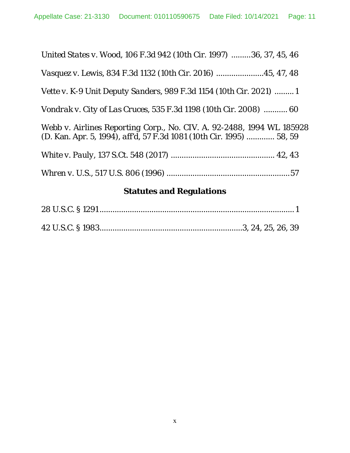| United States v. Wood, 106 F.3d 942 (10th Cir. 1997) 36, 37, 45, 46                                                                                  |
|------------------------------------------------------------------------------------------------------------------------------------------------------|
| Vasquez v. Lewis, 834 F.3d 1132 (10th Cir. 2016) 45, 47, 48                                                                                          |
| <i>Vette v. K-9 Unit Deputy Sanders, 989 F.3d 1154 (10th Cir. 2021) 1</i>                                                                            |
| Vondrak v. City of Las Cruces, 535 F.3d 1198 (10th Cir. 2008)  60                                                                                    |
| Webb v. Airlines Reporting Corp., No. CIV. A. 92-2488, 1994 WL 185928<br>(D. Kan. Apr. 5, 1994), <i>affd</i> , 57 F.3d 1081 (10th Cir. 1995)  58, 59 |
|                                                                                                                                                      |
|                                                                                                                                                      |

# **Statutes and Regulations**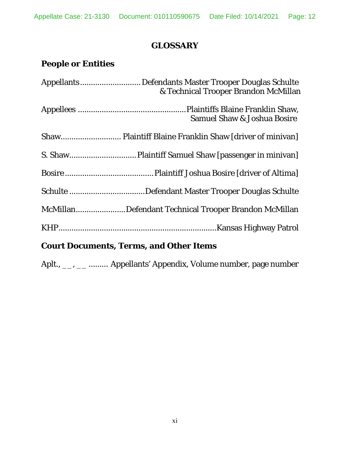## **GLOSSARY**

# **People or Entities**

| & Technical Trooper Brandon McMillan                 |
|------------------------------------------------------|
| <b>Samuel Shaw &amp; Joshua Bosire</b>               |
|                                                      |
|                                                      |
|                                                      |
|                                                      |
| McMillanDefendant Technical Trooper Brandon McMillan |
|                                                      |
|                                                      |

# **Court Documents, Terms, and Other Items**

Aplt., \_\_, \_\_ ......... Appellants' Appendix, Volume number, page number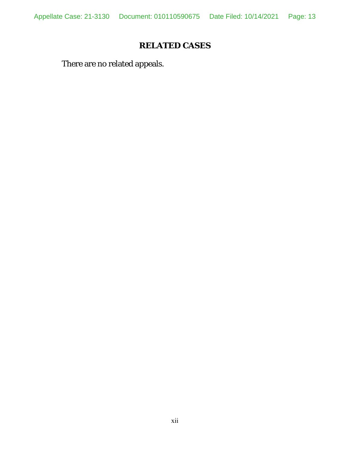Appellate Case: 21-3130 Document: 010110590675 Date Filed: 10/14/2021 Page: 13

# **RELATED CASES**

There are no related appeals.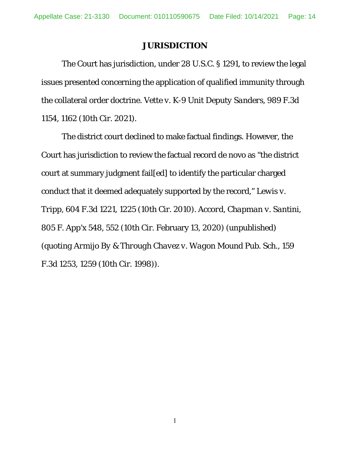#### **JURISDICTION**

 The Court has jurisdiction, under 28 U.S.C. § 1291, to review the legal issues presented concerning the application of qualified immunity through the collateral order doctrine. *Vette v. K-9 Unit Deputy Sanders*, 989 F.3d 1154, 1162 (10th Cir. 2021).

The district court declined to make factual findings. However, the Court has jurisdiction to review the factual record de novo as "the district court at summary judgment fail[ed] to identify the particular charged conduct that it deemed adequately supported by the record," *Lewis v. Tripp*, 604 F.3d 1221, 1225 (10th Cir. 2010). *Accord*, *Chapman v. Santini*, 805 F. App'x 548, 552 (10th Cir. February 13, 2020) (unpublished) (*quoting Armijo By & Through Chavez v. Wagon Mound Pub. Sch.*, 159 F.3d 1253, 1259 (10th Cir. 1998)).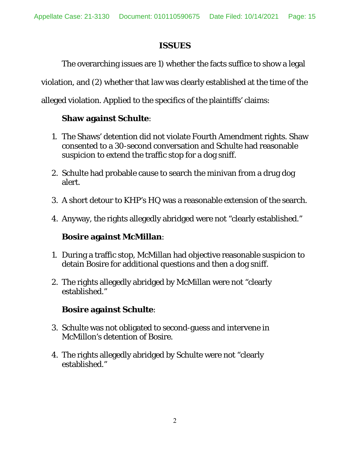### **ISSUES**

 The overarching issues are 1) whether the facts suffice to show a legal violation, and (2) whether that law was clearly established at the time of the alleged violation. Applied to the specifics of the plaintiffs' claims:

## **Shaw against Schulte**:

- 1. The Shaws' detention did not violate Fourth Amendment rights. Shaw consented to a 30-second conversation and Schulte had reasonable suspicion to extend the traffic stop for a dog sniff.
- 2. Schulte had probable cause to search the minivan from a drug dog alert.
- 3. A short detour to KHP's HQ was a reasonable extension of the search.
- 4. Anyway, the rights allegedly abridged were not "clearly established."

## **Bosire against McMillan**:

- 1. During a traffic stop, McMillan had objective reasonable suspicion to detain Bosire for additional questions and then a dog sniff.
- 2. The rights allegedly abridged by McMillan were not "clearly established."

## **Bosire against Schulte**:

- 3. Schulte was not obligated to second-guess and intervene in McMillon's detention of Bosire.
- 4. The rights allegedly abridged by Schulte were not "clearly established."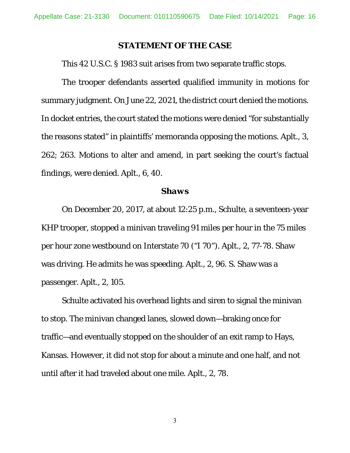#### **STATEMENT OF THE CASE**

This 42 U.S.C. § 1983 suit arises from two separate traffic stops.

The trooper defendants asserted qualified immunity in motions for summary judgment. On June 22, 2021, the district court denied the motions. In docket entries, the court stated the motions were denied "for substantially the reasons stated" in plaintiffs' memoranda opposing the motions. Aplt., 3, 262; 263. Motions to alter and amend, in part seeking the court's factual findings, were denied. Aplt., 6, 40.

#### *Shaws*

 On December 20, 2017, at about 12:25 p.m., Schulte, a seventeen-year KHP trooper, stopped a minivan traveling 91 miles per hour in the 75 miles per hour zone westbound on Interstate 70 ("I 70"). Aplt., 2, 77-78. Shaw was driving. He admits he was speeding. Aplt., 2, 96. S. Shaw was a passenger. Aplt., 2, 105.

 Schulte activated his overhead lights and siren to signal the minivan to stop. The minivan changed lanes, slowed down—braking once for traffic—and eventually stopped on the shoulder of an exit ramp to Hays, Kansas. However, it did not stop for about a minute and one half, and not until after it had traveled about one mile. Aplt., 2, 78.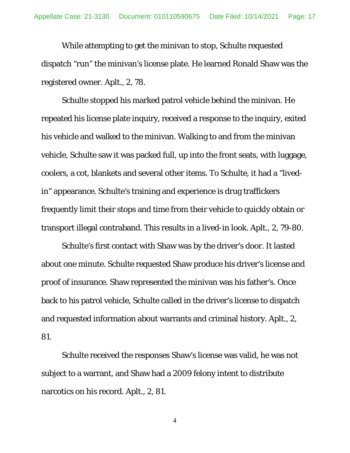While attempting to get the minivan to stop, Schulte requested dispatch "run" the minivan's license plate. He learned Ronald Shaw was the registered owner. Aplt., 2, 78.

 Schulte stopped his marked patrol vehicle behind the minivan. He repeated his license plate inquiry, received a response to the inquiry, exited his vehicle and walked to the minivan. Walking to and from the minivan vehicle, Schulte saw it was packed full, up into the front seats, with luggage, coolers, a cot, blankets and several other items. To Schulte, it had a "livedin" appearance. Schulte's training and experience is drug traffickers frequently limit their stops and time from their vehicle to quickly obtain or transport illegal contraband. This results in a lived-in look. Aplt., 2, 79-80.

 Schulte's first contact with Shaw was by the driver's door. It lasted about one minute. Schulte requested Shaw produce his driver's license and proof of insurance. Shaw represented the minivan was his father's. Once back to his patrol vehicle, Schulte called in the driver's license to dispatch and requested information about warrants and criminal history. Aplt., 2, 81.

 Schulte received the responses Shaw's license was valid, he was not subject to a warrant, and Shaw had a 2009 felony intent to distribute narcotics on his record. Aplt., 2, 81.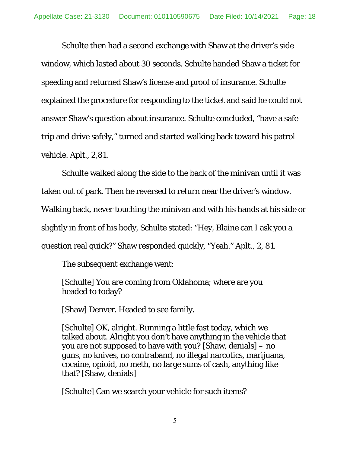Schulte then had a second exchange with Shaw at the driver's side window, which lasted about 30 seconds. Schulte handed Shaw a ticket for speeding and returned Shaw's license and proof of insurance. Schulte explained the procedure for responding to the ticket and said he could not answer Shaw's question about insurance. Schulte concluded, "have a safe trip and drive safely," turned and started walking back toward his patrol vehicle. Aplt., 2,81.

 Schulte walked along the side to the back of the minivan until it was taken out of park. Then he reversed to return near the driver's window. Walking back, never touching the minivan and with his hands at his side or slightly in front of his body, Schulte stated: "Hey, Blaine can I ask you a question real quick?" Shaw responded quickly, "Yeah." Aplt., 2, 81.

The subsequent exchange went:

[Schulte] You are coming from Oklahoma; where are you headed to today?

[Shaw] Denver. Headed to see family.

[Schulte] OK, alright. Running a little fast today, which we talked about. Alright you don't have anything in the vehicle that you are not supposed to have with you? [Shaw, denials] – no guns, no knives, no contraband, no illegal narcotics, marijuana, cocaine, opioid, no meth, no large sums of cash, anything like that? [Shaw, denials]

[Schulte] Can we search your vehicle for such items?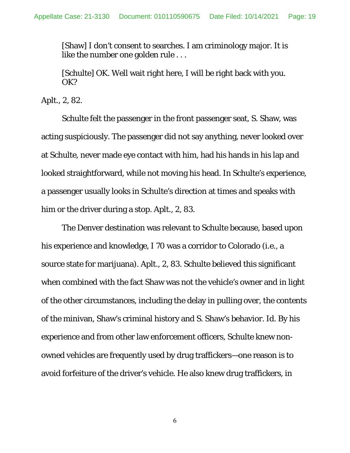[Shaw] I don't consent to searches. I am criminology major. It is like the number one golden rule . . .

[Schulte] OK. Well wait right here, I will be right back with you. OK?

Aplt., 2, 82.

 Schulte felt the passenger in the front passenger seat, S. Shaw, was acting suspiciously. The passenger did not say anything, never looked over at Schulte, never made eye contact with him, had his hands in his lap and looked straightforward, while not moving his head. In Schulte's experience, a passenger usually looks in Schulte's direction at times and speaks with him or the driver during a stop. Aplt., 2, 83.

 The Denver destination was relevant to Schulte because, based upon his experience and knowledge, I 70 was a corridor to Colorado (i.e., a source state for marijuana). Aplt., 2, 83. Schulte believed this significant when combined with the fact Shaw was not the vehicle's owner and in light of the other circumstances, including the delay in pulling over, the contents of the minivan, Shaw's criminal history and S. Shaw's behavior. *Id.* By his experience and from other law enforcement officers, Schulte knew nonowned vehicles are frequently used by drug traffickers—one reason is to avoid forfeiture of the driver's vehicle. He also knew drug traffickers, in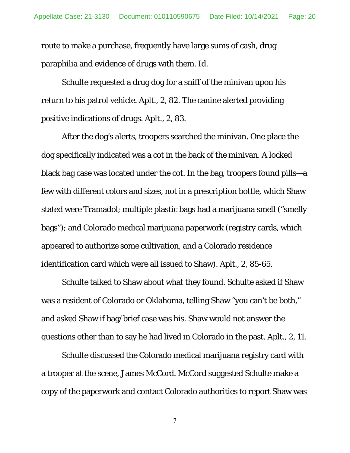route to make a purchase, frequently have large sums of cash, drug paraphilia and evidence of drugs with them. *Id.*

 Schulte requested a drug dog for a sniff of the minivan upon his return to his patrol vehicle. Aplt., 2, 82. The canine alerted providing positive indications of drugs. Aplt., 2, 83.

 After the dog's alerts, troopers searched the minivan. One place the dog specifically indicated was a cot in the back of the minivan. A locked black bag case was located under the cot. In the bag, troopers found pills—a few with different colors and sizes, not in a prescription bottle, which Shaw stated were Tramadol; multiple plastic bags had a marijuana smell ("smelly bags"); and Colorado medical marijuana paperwork (registry cards, which appeared to authorize some cultivation, and a Colorado residence identification card which were all issued to Shaw). Aplt., 2, 85-65.

 Schulte talked to Shaw about what they found. Schulte asked if Shaw was a resident of Colorado or Oklahoma, telling Shaw "you can't be both," and asked Shaw if bag/brief case was his. Shaw would not answer the questions other than to say he had lived in Colorado in the past. Aplt., 2, 11.

 Schulte discussed the Colorado medical marijuana registry card with a trooper at the scene, James McCord. McCord suggested Schulte make a copy of the paperwork and contact Colorado authorities to report Shaw was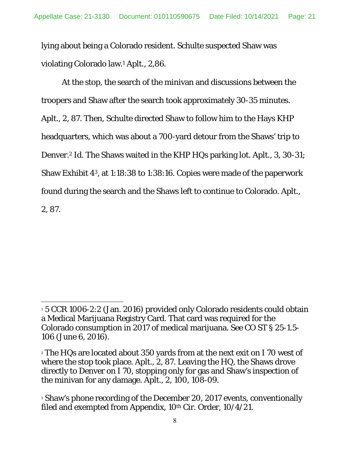lying about being a Colorado resident. Schulte suspected Shaw was violating Colorado law.1 Aplt., 2,86.

 At the stop, the search of the minivan and discussions between the troopers and Shaw after the search took approximately 30-35 minutes. Aplt., 2, 87. Then, Schulte directed Shaw to follow him to the Hays KHP headquarters, which was about a 700-yard detour from the Shaws' trip to Denver.2 *Id.* The Shaws waited in the KHP HQs parking lot. Aplt., 3, 30-31; Shaw Exhibit 43, at 1:18:38 to 1:38:16. Copies were made of the paperwork found during the search and the Shaws left to continue to Colorado. Aplt., 2, 87.

 $\overline{a}$ 

<sup>&</sup>lt;sup>1</sup> 5 CCR 1006-2:2 (Jan. 2016) provided only Colorado residents could obtain a Medical Marijuana Registry Card. That card was required for the Colorado consumption in 2017 of medical marijuana. *See* CO ST § 25-1.5- 106 (June 6, 2016).

<sup>&</sup>lt;sup>2</sup> The HQs are located about 350 yards from at the next exit on I 70 west of where the stop took place. Aplt., 2, 87. Leaving the HQ, the Shaws drove directly to Denver on I 70, stopping only for gas and Shaw's inspection of the minivan for any damage. Aplt., 2, 100, 108-09.

<sup>&</sup>lt;sup>3</sup> Shaw's phone recording of the December 20, 2017 events, conventionally filed and exempted from Appendix, 10<sup>th</sup> Cir. Order, 10/4/21.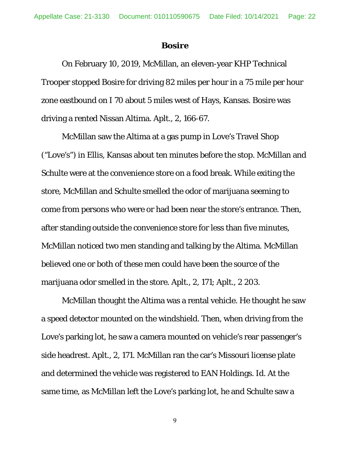#### *Bosire*

On February 10, 2019, McMillan, an eleven-year KHP Technical Trooper stopped Bosire for driving 82 miles per hour in a 75 mile per hour zone eastbound on I 70 about 5 miles west of Hays, Kansas. Bosire was driving a rented Nissan Altima. Aplt., 2, 166-67.

McMillan saw the Altima at a gas pump in Love's Travel Shop ("Love's") in Ellis, Kansas about ten minutes before the stop. McMillan and Schulte were at the convenience store on a food break. While exiting the store, McMillan and Schulte smelled the odor of marijuana seeming to come from persons who were or had been near the store's entrance. Then, after standing outside the convenience store for less than five minutes, McMillan noticed two men standing and talking by the Altima. McMillan believed one or both of these men could have been the source of the marijuana odor smelled in the store. Aplt., 2, 171; Aplt., 2 203.

McMillan thought the Altima was a rental vehicle. He thought he saw a speed detector mounted on the windshield. Then, when driving from the Love's parking lot, he saw a camera mounted on vehicle's rear passenger's side headrest. Aplt., 2, 171. McMillan ran the car's Missouri license plate and determined the vehicle was registered to EAN Holdings. *Id.* At the same time, as McMillan left the Love's parking lot, he and Schulte saw a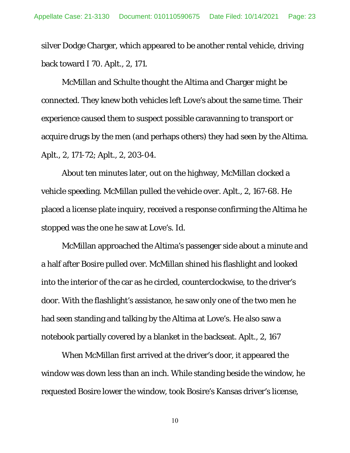silver Dodge Charger, which appeared to be another rental vehicle, driving back toward I 70. Aplt., 2, 171.

McMillan and Schulte thought the Altima and Charger might be connected. They knew both vehicles left Love's about the same time. Their experience caused them to suspect possible caravanning to transport or acquire drugs by the men (and perhaps others) they had seen by the Altima. Aplt., 2, 171-72; Aplt., 2, 203-04.

About ten minutes later, out on the highway, McMillan clocked a vehicle speeding. McMillan pulled the vehicle over. Aplt., 2, 167-68. He placed a license plate inquiry, received a response confirming the Altima he stopped was the one he saw at Love's. *Id.*

McMillan approached the Altima's passenger side about a minute and a half after Bosire pulled over. McMillan shined his flashlight and looked into the interior of the car as he circled, counterclockwise, to the driver's door. With the flashlight's assistance, he saw only one of the two men he had seen standing and talking by the Altima at Love's. He also saw a notebook partially covered by a blanket in the backseat. Aplt., 2, 167

When McMillan first arrived at the driver's door, it appeared the window was down less than an inch. While standing beside the window, he requested Bosire lower the window, took Bosire's Kansas driver's license,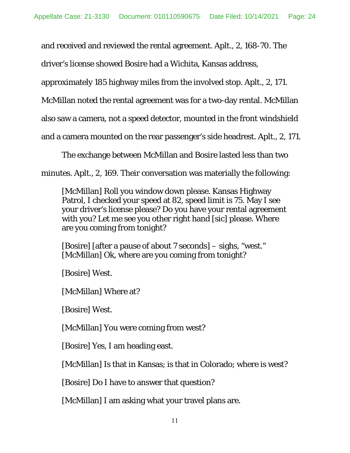and received and reviewed the rental agreement. Aplt., 2, 168-70. The

driver's license showed Bosire had a Wichita, Kansas address,

approximately 185 highway miles from the involved stop. Aplt., 2, 171.

McMillan noted the rental agreement was for a two-day rental. McMillan

also saw a camera, not a speed detector, mounted in the front windshield

and a camera mounted on the rear passenger's side headrest. Aplt., 2, 171.

The exchange between McMillan and Bosire lasted less than two

minutes. Aplt., 2, 169. Their conversation was materially the following:

[McMillan] Roll you window down please. Kansas Highway Patrol, I checked your speed at 82, speed limit is 75. May I see your driver's license please? Do you have your rental agreement with you? Let me see you other right hand [sic] please. Where are you coming from tonight?

[Bosire] [after a pause of about 7 seconds] – sighs, "west." [McMillan] Ok, where are you coming from tonight?

[Bosire] West.

[McMillan] Where at?

[Bosire] West.

[McMillan] You were coming from west?

[Bosire] Yes, I am heading east.

[McMillan] Is that in Kansas; is that in Colorado; where is west?

[Bosire] Do I have to answer that question?

[McMillan] I am asking what your travel plans are.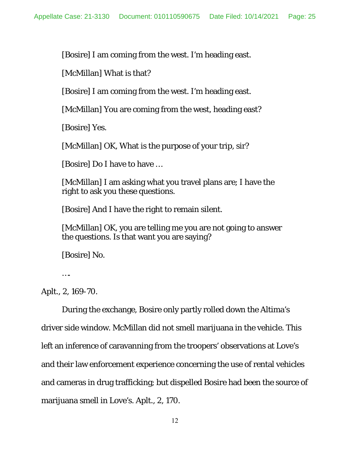[Bosire] I am coming from the west. I'm heading east.

[McMillan] What is that?

[Bosire] I am coming from the west. I'm heading east.

[McMillan] You are coming from the west, heading east?

[Bosire] Yes.

[McMillan] OK, What is the purpose of your trip, sir?

[Bosire] Do I have to have …

[McMillan] I am asking what you travel plans are; I have the right to ask you these questions.

[Bosire] And I have the right to remain silent.

[McMillan] OK, you are telling me you are not going to answer the questions. Is that want you are saying?

[Bosire] No.

….

Aplt., 2, 169-70.

 During the exchange, Bosire only partly rolled down the Altima's driver side window. McMillan did not smell marijuana in the vehicle. This left an inference of caravanning from the troopers' observations at Love's and their law enforcement experience concerning the use of rental vehicles and cameras in drug trafficking; but dispelled Bosire had been the source of marijuana smell in Love's. Aplt., 2, 170.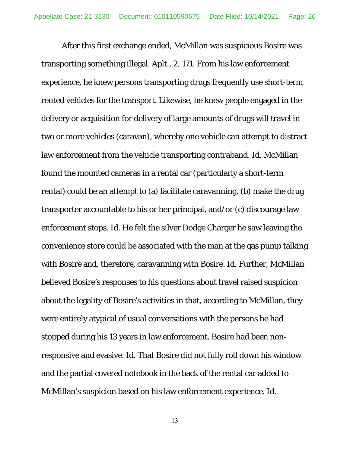After this first exchange ended, McMillan was suspicious Bosire was transporting something illegal. Aplt., 2, 171. From his law enforcement experience, he knew persons transporting drugs frequently use short-term rented vehicles for the transport. Likewise, he knew people engaged in the delivery or acquisition for delivery of large amounts of drugs will travel in two or more vehicles (caravan), whereby one vehicle can attempt to distract law enforcement from the vehicle transporting contraband. *Id.* McMillan found the mounted cameras in a rental car (particularly a short-term rental) could be an attempt to (a) facilitate caravanning, (b) make the drug transporter accountable to his or her principal, and/or (c) discourage law enforcement stops. *Id.* He felt the silver Dodge Charger he saw leaving the convenience store could be associated with the man at the gas pump talking with Bosire and, therefore, caravanning with Bosire. *Id.* Further, McMillan believed Bosire's responses to his questions about travel raised suspicion about the legality of Bosire's activities in that, according to McMillan, they were entirely atypical of usual conversations with the persons he had stopped during his 13 years in law enforcement. Bosire had been nonresponsive and evasive. *Id.* That Bosire did not fully roll down his window and the partial covered notebook in the back of the rental car added to McMillan's suspicion based on his law enforcement experience. *Id.*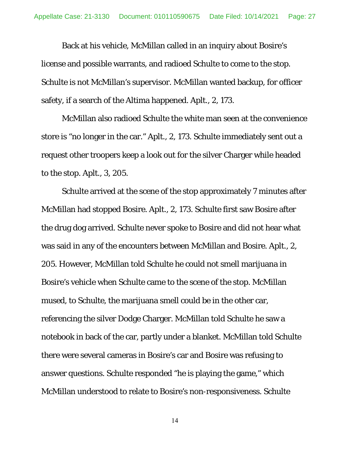Back at his vehicle, McMillan called in an inquiry about Bosire's license and possible warrants, and radioed Schulte to come to the stop. Schulte is not McMillan's supervisor. McMillan wanted backup, for officer safety, if a search of the Altima happened. Aplt., 2, 173.

McMillan also radioed Schulte the white man seen at the convenience store is "no longer in the car." Aplt., 2, 173. Schulte immediately sent out a request other troopers keep a look out for the silver Charger while headed to the stop. Aplt., 3, 205.

Schulte arrived at the scene of the stop approximately 7 minutes after McMillan had stopped Bosire. Aplt., 2, 173. Schulte first saw Bosire after the drug dog arrived. Schulte never spoke to Bosire and did not hear what was said in any of the encounters between McMillan and Bosire. Aplt., 2, 205. However, McMillan told Schulte he could not smell marijuana in Bosire's vehicle when Schulte came to the scene of the stop. McMillan mused, to Schulte, the marijuana smell could be in the other car, referencing the silver Dodge Charger. McMillan told Schulte he saw a notebook in back of the car, partly under a blanket. McMillan told Schulte there were several cameras in Bosire's car and Bosire was refusing to answer questions. Schulte responded "he is playing the game," which McMillan understood to relate to Bosire's non-responsiveness. Schulte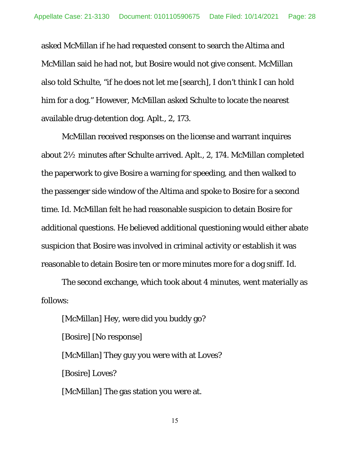asked McMillan if he had requested consent to search the Altima and McMillan said he had not, but Bosire would not give consent. McMillan also told Schulte, "if he does not let me [search], I don't think I can hold him for a dog." However, McMillan asked Schulte to locate the nearest available drug-detention dog. Aplt., 2, 173.

McMillan received responses on the license and warrant inquires about 2½ minutes after Schulte arrived. Aplt., 2, 174. McMillan completed the paperwork to give Bosire a warning for speeding, and then walked to the passenger side window of the Altima and spoke to Bosire for a second time. *Id.* McMillan felt he had reasonable suspicion to detain Bosire for additional questions. He believed additional questioning would either abate suspicion that Bosire was involved in criminal activity or establish it was reasonable to detain Bosire ten or more minutes more for a dog sniff. *Id.*

The second exchange, which took about 4 minutes, went materially as follows:

[McMillan] Hey, were did you buddy go? [Bosire] [No response] [McMillan] They guy you were with at Loves? [Bosire] Loves? [McMillan] The gas station you were at.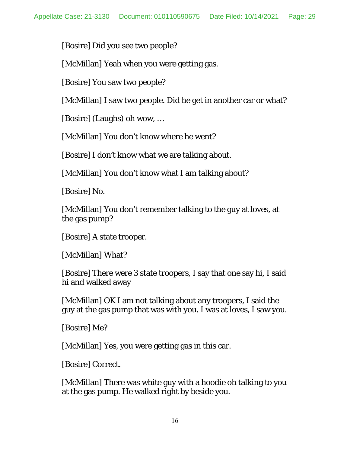[Bosire] Did you see two people?

[McMillan] Yeah when you were getting gas.

[Bosire] You saw two people?

[McMillan] I saw two people. Did he get in another car or what?

[Bosire] (Laughs) oh wow, …

[McMillan] You don't know where he went?

[Bosire] I don't know what we are talking about.

[McMillan] You don't know what I am talking about?

[Bosire] No.

[McMillan] You don't remember talking to the guy at loves, at the gas pump?

[Bosire] A state trooper.

[McMillan] What?

[Bosire] There were 3 state troopers, I say that one say hi, I said hi and walked away

[McMillan] OK I am not talking about any troopers, I said the guy at the gas pump that was with you. I was at loves, I saw you.

[Bosire] Me?

[McMillan] Yes, you were getting gas in this car.

[Bosire] Correct.

[McMillan] There was white guy with a hoodie oh talking to you at the gas pump. He walked right by beside you.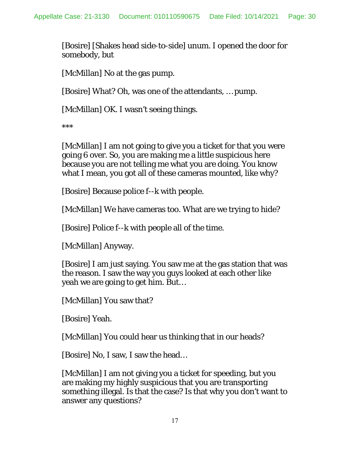[Bosire] [Shakes head side-to-side] unum. I opened the door for somebody, but

[McMillan] No at the gas pump.

[Bosire] What? Oh, was one of the attendants, … pump.

[McMillan] OK. I wasn't seeing things.

\*\*\*

[McMillan] I am not going to give you a ticket for that you were going 6 over. So, you are making me a little suspicious here because you are not telling me what you are doing. You know what I mean, you got all of these cameras mounted, like why?

[Bosire] Because police f--k with people.

[McMillan] We have cameras too. What are we trying to hide?

[Bosire] Police f--k with people all of the time.

[McMillan] Anyway.

[Bosire] I am just saying. You saw me at the gas station that was the reason. I saw the way you guys looked at each other like yeah we are going to get him. But…

[McMillan] You saw that?

[Bosire] Yeah.

[McMillan] You could hear us thinking that in our heads?

[Bosire] No, I saw, I saw the head…

[McMillan] I am not giving you a ticket for speeding, but you are making my highly suspicious that you are transporting something illegal. Is that the case? Is that why you don't want to answer any questions?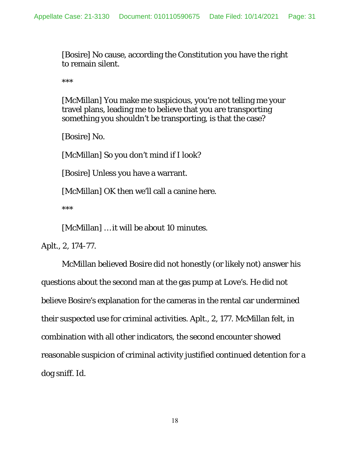[Bosire] No cause, according the Constitution you have the right to remain silent.

\*\*\*

[McMillan] You make me suspicious, you're not telling me your travel plans, leading me to believe that you are transporting something you shouldn't be transporting, is that the case?

[Bosire] No.

[McMillan] So you don't mind if I look?

[Bosire] Unless you have a warrant.

[McMillan] OK then we'll call a canine here.

\*\*\*

[McMillan] ... it will be about 10 minutes.

Aplt., 2, 174-77.

 McMillan believed Bosire did not honestly (or likely not) answer his questions about the second man at the gas pump at Love's. He did not believe Bosire's explanation for the cameras in the rental car undermined their suspected use for criminal activities. Aplt., 2, 177. McMillan felt, in combination with all other indicators, the second encounter showed reasonable suspicion of criminal activity justified continued detention for a dog sniff. *Id.*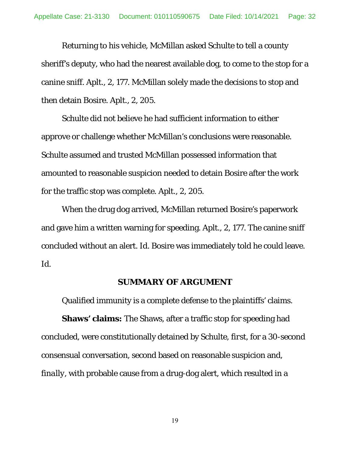Returning to his vehicle, McMillan asked Schulte to tell a county sheriff's deputy, who had the nearest available dog, to come to the stop for a canine sniff. Aplt., 2, 177. McMillan solely made the decisions to stop and then detain Bosire. Aplt., 2, 205.

Schulte did not believe he had sufficient information to either approve or challenge whether McMillan's conclusions were reasonable. Schulte assumed and trusted McMillan possessed information that amounted to reasonable suspicion needed to detain Bosire after the work for the traffic stop was complete. Aplt., 2, 205.

 When the drug dog arrived, McMillan returned Bosire's paperwork and gave him a written warning for speeding. Aplt., 2, 177. The canine sniff concluded without an alert. *Id.* Bosire was immediately told he could leave. *Id.*

#### **SUMMARY OF ARGUMENT**

Qualified immunity is a complete defense to the plaintiffs' claims.

**Shaws' claims:** The Shaws, after a traffic stop for speeding had concluded, were constitutionally detained by Schulte, *first*, for a 30-second consensual conversation, *second* based on reasonable suspicion and, *finally*, with probable cause from a drug-dog alert, which resulted in a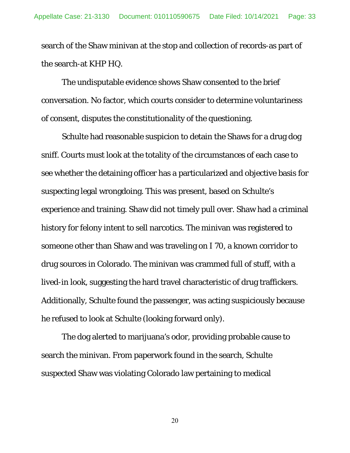search of the Shaw minivan at the stop and collection of records-as part of the search-at KHP HQ.

 The undisputable evidence shows Shaw consented to the brief conversation. No factor, which courts consider to determine voluntariness of consent, disputes the constitutionality of the questioning.

 Schulte had reasonable suspicion to detain the Shaws for a drug dog sniff. Courts must look at the totality of the circumstances of each case to see whether the detaining officer has a particularized and objective basis for suspecting legal wrongdoing. This was present, based on Schulte's experience and training. Shaw did not timely pull over. Shaw had a criminal history for felony intent to sell narcotics. The minivan was registered to someone other than Shaw and was traveling on I 70, a known corridor to drug sources in Colorado. The minivan was crammed full of stuff, with a lived-in look, suggesting the hard travel characteristic of drug traffickers. Additionally, Schulte found the passenger, was acting suspiciously because he refused to look at Schulte (looking forward only).

 The dog alerted to marijuana's odor, providing probable cause to search the minivan. From paperwork found in the search, Schulte suspected Shaw was violating Colorado law pertaining to medical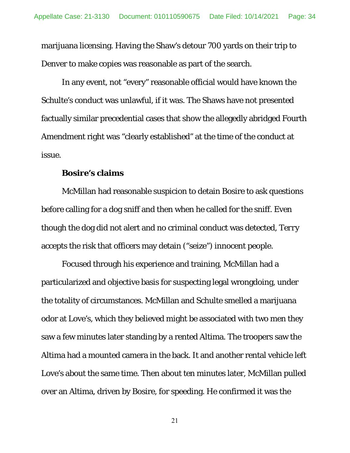marijuana licensing. Having the Shaw's detour 700 yards on their trip to Denver to make copies was reasonable as part of the search.

 In any event, not "every" reasonable official would have known the Schulte's conduct was unlawful, if it was. The Shaws have not presented factually similar precedential cases that show the allegedly abridged Fourth Amendment right was "clearly established" at the time of the conduct at issue.

#### **Bosire's claims**

McMillan had reasonable suspicion to detain Bosire to ask questions before calling for a dog sniff and then when he called for the sniff. Even though the dog did not alert and no criminal conduct was detected, *Terry* accepts the risk that officers may detain ("seize") innocent people.

 Focused through his experience and training, McMillan had a particularized and objective basis for suspecting legal wrongdoing, under the totality of circumstances. McMillan and Schulte smelled a marijuana odor at Love's, which they believed might be associated with two men they saw a few minutes later standing by a rented Altima. The troopers saw the Altima had a mounted camera in the back. It and another rental vehicle left Love's about the same time. Then about ten minutes later, McMillan pulled over an Altima, driven by Bosire, for speeding. He confirmed it was the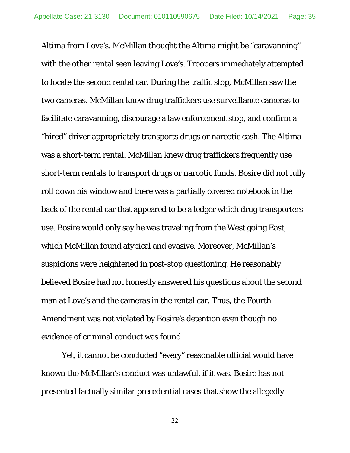Altima from Love's. McMillan thought the Altima might be "caravanning" with the other rental seen leaving Love's. Troopers immediately attempted to locate the second rental car. During the traffic stop, McMillan saw the two cameras. McMillan knew drug traffickers use surveillance cameras to facilitate caravanning, discourage a law enforcement stop, and confirm a "hired" driver appropriately transports drugs or narcotic cash. The Altima was a short-term rental. McMillan knew drug traffickers frequently use short-term rentals to transport drugs or narcotic funds. Bosire did not fully roll down his window and there was a partially covered notebook in the back of the rental car that appeared to be a ledger which drug transporters use. Bosire would only say he was traveling from the West going East, which McMillan found atypical and evasive. Moreover, McMillan's suspicions were heightened in post-stop questioning. He reasonably believed Bosire had not honestly answered his questions about the second man at Love's and the cameras in the rental car. Thus, the Fourth Amendment was not violated by Bosire's detention even though no evidence of criminal conduct was found.

 Yet, it cannot be concluded "every" reasonable official would have known the McMillan's conduct was unlawful, if it was. Bosire has not presented factually similar precedential cases that show the allegedly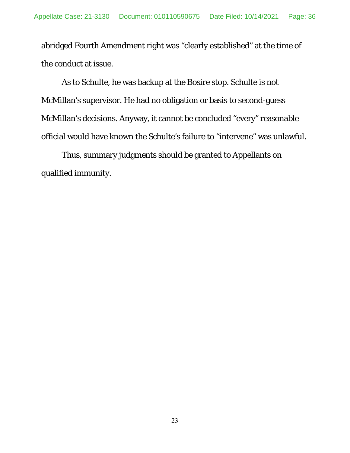abridged Fourth Amendment right was "clearly established" at the time of the conduct at issue.

 As to Schulte, he was backup at the Bosire stop. Schulte is not McMillan's supervisor. He had no obligation or basis to second-guess McMillan's decisions. Anyway, it cannot be concluded "every" reasonable official would have known the Schulte's failure to "intervene" was unlawful.

 Thus, summary judgments should be granted to Appellants on qualified immunity.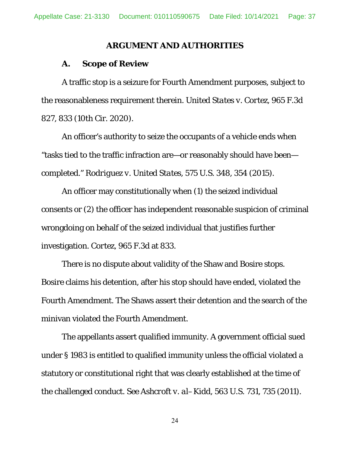#### **ARGUMENT AND AUTHORITIES**

#### **A. Scope of Review**

A traffic stop is a seizure for Fourth Amendment purposes, subject to the reasonableness requirement therein. *United States v. Cortez*, 965 F.3d 827, 833 (10th Cir. 2020).

An officer's authority to seize the occupants of a vehicle ends when "tasks tied to the traffic infraction are—or reasonably should have been completed." *Rodriguez v. United States*, 575 U.S. 348, 354 (2015).

An officer may constitutionally when (1) the seized individual consents or (2) the officer has independent reasonable suspicion of criminal wrongdoing on behalf of the seized individual that justifies further investigation. *Cortez*, 965 F.3d at 833.

There is no dispute about validity of the Shaw and Bosire stops. Bosire claims his detention, after his stop should have ended, violated the Fourth Amendment. The Shaws assert their detention and the search of the minivan violated the Fourth Amendment.

The appellants assert qualified immunity. A government official sued under § 1983 is entitled to qualified immunity unless the official violated a statutory or constitutional right that was clearly established at the time of the challenged conduct. *See Ashcroft v. al–Kidd*, 563 U.S. 731, 735 (2011).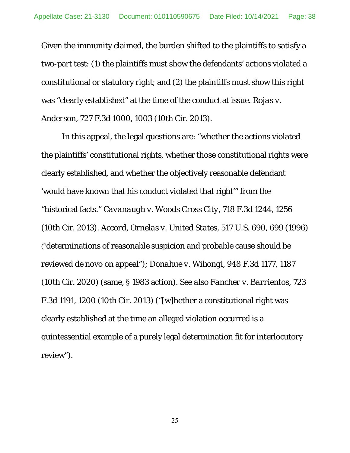Given the immunity claimed, the burden shifted to the plaintiffs to satisfy a two-part test: (1) the plaintiffs must show the defendants' actions violated a constitutional or statutory right; and (2) the plaintiffs must show this right was "clearly established" at the time of the conduct at issue. *Rojas v. Anderson*, 727 F.3d 1000, 1003 (10th Cir. 2013).

In this appeal, the legal questions are: "whether the actions violated the plaintiffs' constitutional rights, whether those constitutional rights were clearly established, and whether the objectively reasonable defendant 'would have known that his conduct violated that right'" from the "historical facts." *Cavanaugh v. Woods Cross City*, 718 F.3d 1244, 1256 (10th Cir. 2013). *Accord, Ornelas v. United States,* 517 U.S. 690, 699 (1996) ("determinations of reasonable suspicion and probable cause should be reviewed de novo on appeal"); *Donahue v. Wihongi*, 948 F.3d 1177, 1187 (10th Cir. 2020) (same, § 1983 action). *See also Fancher v. Barrientos*, 723 F.3d 1191, 1200 (10th Cir. 2013) ("[w]hether a constitutional right was clearly established at the time an alleged violation occurred is a quintessential example of a purely legal determination fit for interlocutory review").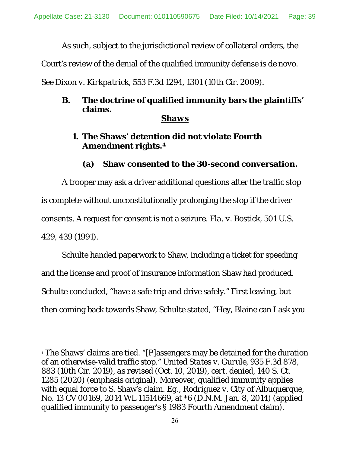As such, subject to the jurisdictional review of collateral orders, the

Court's review of the denial of the qualified immunity defense is *de novo*.

*See Dixon v. Kirkpatrick*, 553 F.3d 1294, 1301 (10th Cir. 2009).

# **B. The doctrine of qualified immunity bars the plaintiffs' claims.**

## *Shaws*

# **1. The Shaws' detention did not violate Fourth Amendment rights.4**

# **(a) Shaw consented to the 30-second conversation.**

 A trooper may ask a driver additional questions after the traffic stop is complete without unconstitutionally prolonging the stop if the driver consents. A request for consent is not a seizure. *Fla. v. Bostick*, 501 U.S. 429, 439 (1991).

 Schulte handed paperwork to Shaw, including a ticket for speeding and the license and proof of insurance information Shaw had produced. Schulte concluded, "have a safe trip and drive safely." First leaving, but then coming back towards Shaw, Schulte stated, "Hey, Blaine can I ask you

l

<sup>4</sup> The Shaws' claims are tied. "[P]assengers may be detained for the duration of an otherwise-valid traffic stop." *United States v. Gurule*, 935 F.3d 878, 883 (10th Cir. 2019), *as revised* (Oct. 10, 2019), *cert. denied*, 140 S. Ct. 1285 (2020) (emphasis original). Moreover, qualified immunity applies with equal force to S. Shaw's claim. *Eg., Rodriguez v. City of Albuquerque*, No. 13 CV 00169, 2014 WL 11514669, at \*6 (D.N.M. Jan. 8, 2014) (applied qualified immunity to passenger's § 1983 Fourth Amendment claim).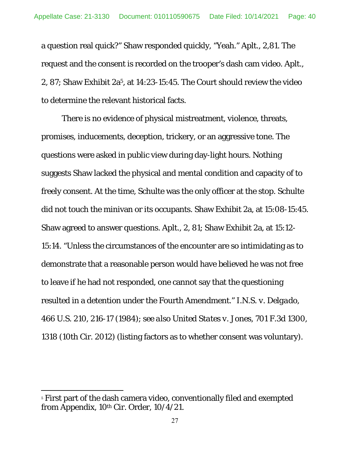a question real quick?" Shaw responded quickly, "Yeah." Aplt., 2,81. The request and the consent is recorded on the trooper's dash cam video. Aplt., 2, 87; Shaw Exhibit 2a5, at 14:23-15:45. The Court should review the video to determine the relevant historical facts.

 There is no evidence of physical mistreatment, violence, threats, promises, inducements, deception, trickery, or an aggressive tone. The questions were asked in public view during day-light hours. Nothing suggests Shaw lacked the physical and mental condition and capacity of to freely consent. At the time, Schulte was the only officer at the stop. Schulte did not touch the minivan or its occupants. Shaw Exhibit 2a, at 15:08-15:45. Shaw agreed to answer questions. Aplt., 2, 81; Shaw Exhibit 2a, at 15:12- 15:14. "Unless the circumstances of the encounter are so intimidating as to demonstrate that a reasonable person would have believed he was not free to leave if he had not responded, one cannot say that the questioning resulted in a detention under the Fourth Amendment." *I.N.S. v. Delgado*, 466 U.S. 210, 216-17 (1984); *see also United States v. Jones*, 701 F.3d 1300, 1318 (10th Cir. 2012) (listing factors as to whether consent was voluntary).

l

<sup>&</sup>lt;sup>5</sup> First part of the dash camera video, conventionally filed and exempted from Appendix, 10th Cir. Order, 10/4/21.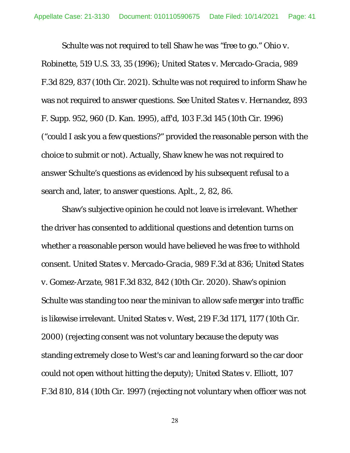Schulte was not required to tell Shaw he was "free to go." *Ohio v. Robinette*, 519 U.S. 33, 35 (1996); *United States v. Mercado-Gracia*, 989 F.3d 829, 837 (10th Cir. 2021). Schulte was not required to inform Shaw he was not required to answer questions. *See United States v. Hernandez*, 893 F. Supp. 952, 960 (D. Kan. 1995), *aff'd*, 103 F.3d 145 (10th Cir. 1996) ("could I ask you a few questions?" provided the reasonable person with the choice to submit or not). Actually, Shaw knew he was not required to answer Schulte's questions as evidenced by his subsequent refusal to a search and, later, to answer questions. Aplt., 2, 82, 86.

 Shaw's subjective opinion he could not leave is irrelevant. Whether the driver has consented to additional questions and detention turns on whether a reasonable person would have believed he was free to withhold consent. *United States v. Mercado-Gracia*, 989 F.3d at 836; *United States v. Gomez-Arzate*, 981 F.3d 832, 842 (10th Cir. 2020). Shaw's opinion Schulte was standing too near the minivan to allow safe merger into traffic is likewise irrelevant. *United States v. West*, 219 F.3d 1171, 1177 (10th Cir. 2000) (rejecting consent was not voluntary because the deputy was standing extremely close to West's car and leaning forward so the car door could not open without hitting the deputy); *United States v. Elliott*, 107 F.3d 810, 814 (10th Cir. 1997) (rejecting not voluntary when officer was not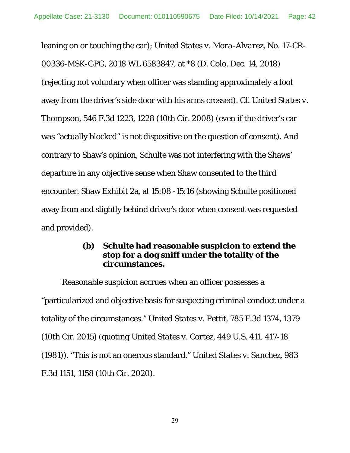leaning on or touching the car); *United States v. Mora-Alvarez*, No. 17-CR-00336-MSK-GPG, 2018 WL 6583847, at \*8 (D. Colo. Dec. 14, 2018) (rejecting not voluntary when officer was standing approximately a foot away from the driver's side door with his arms crossed). *Cf. United States v. Thompson*, 546 F.3d 1223, 1228 (10th Cir. 2008) (even if the driver's car was "actually blocked" is not dispositive on the question of consent). And contrary to Shaw's opinion, Schulte was not interfering with the Shaws' departure in any objective sense when Shaw consented to the third encounter. Shaw Exhibit 2a, at 15:08 -15:16 (showing Schulte positioned away from and slightly behind driver's door when consent was requested and provided).

### **(b) Schulte had reasonable suspicion to extend the stop for a dog sniff under the totality of the circumstances.**

 Reasonable suspicion accrues when an officer possesses a "particularized and objective basis for suspecting criminal conduct under a totality of the circumstances." *United States v. Pettit*, 785 F.3d 1374, 1379 (10th Cir. 2015) (*quoting United States v. Cortez*, 449 U.S. 411, 417-18 (1981)). "This is not an onerous standard." *United States v. Sanchez,* 983 F.3d 1151, 1158 (10th Cir. 2020).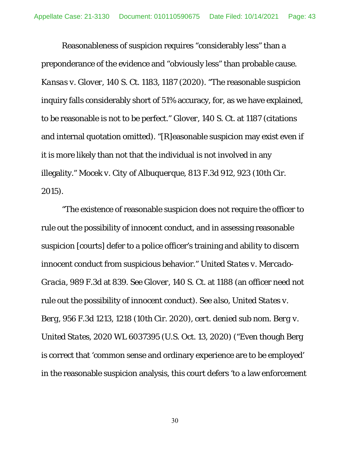Reasonableness of suspicion requires "considerably less" than a preponderance of the evidence and "obviously less" than probable cause. *Kansas v. Glover*, 140 S. Ct. 1183, 1187 (2020). "The reasonable suspicion inquiry falls considerably short of 51% accuracy, for, as we have explained, to be reasonable is not to be perfect." *Glover*, 140 S. Ct. at 1187 (citations and internal quotation omitted). "[R]easonable suspicion may exist even if it is more likely than not that the individual is not involved in any illegality." *Mocek v. City of Albuquerque*, 813 F.3d 912, 923 (10th Cir. 2015).

 "The existence of reasonable suspicion does not require the officer to rule out the possibility of innocent conduct, and in assessing reasonable suspicion [courts] defer to a police officer's training and ability to discern innocent conduct from suspicious behavior." *United States v. Mercado-Gracia*, 989 F.3d at 839. *See Glover*, 140 S. Ct. at 1188 (an officer need not rule out the possibility of innocent conduct). *See also, United States v. Berg*, 956 F.3d 1213, 1218 (10th Cir. 2020), *cert. denied sub nom. Berg v. United States*, 2020 WL 6037395 (U.S. Oct. 13, 2020) ("Even though Berg is correct that 'common sense and ordinary experience are to be employed' in the reasonable suspicion analysis, this court defers 'to a law enforcement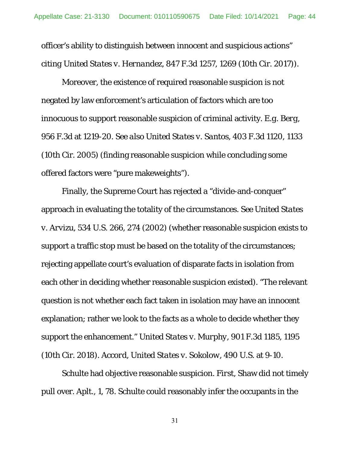officer's ability to distinguish between innocent and suspicious actions" *citing United States v. Hernandez*, 847 F.3d 1257, 1269 (10th Cir. 2017)).

 Moreover, the existence of required reasonable suspicion is not negated by law enforcement's articulation of factors which are too innocuous to support reasonable suspicion of criminal activity. *E.g. Berg*, 956 F.3d at 1219-20. *See also United States v. Santos*, 403 F.3d 1120, 1133 (10th Cir. 2005) (finding reasonable suspicion while concluding some offered factors were "pure makeweights").

 Finally, the Supreme Court has rejected a "divide-and-conquer" approach in evaluating the totality of the circumstances. *See United States v. Arvizu*, 534 U.S. 266, 274 (2002) (whether reasonable suspicion exists to support a traffic stop must be based on the totality of the circumstances; rejecting appellate court's evaluation of disparate facts in isolation from each other in deciding whether reasonable suspicion existed). "The relevant question is not whether each fact taken in isolation may have an innocent explanation; rather we look to the facts as a whole to decide whether they support the enhancement." *United States v. Murphy*, 901 F.3d 1185, 1195 (10th Cir. 2018). *Accord*, *United States v. Sokolow*, 490 U.S. at 9-10.

 Schulte had objective reasonable suspicion. *First*, Shaw did not timely pull over. Aplt., 1, 78. Schulte could reasonably infer the occupants in the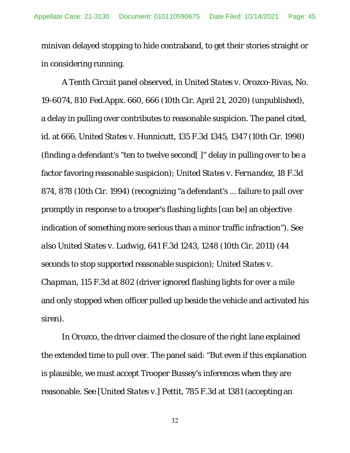minivan delayed stopping to hide contraband, to get their stories straight or in considering running.

 A Tenth Circuit panel observed, in *United States v. Orozco-Rivas*, No. 19-6074, 810 Fed.Appx. 660, 666 (10th Cir. April 21, 2020) (unpublished), a delay in pulling over contributes to reasonable suspicion. The panel cited, *id.* at 666, *United States v. Hunnicutt*, 135 F.3d 1345, 1347 (10th Cir. 1998) (finding a defendant's "ten to twelve second[ ]" delay in pulling over to be a factor favoring reasonable suspicion); *United States v. Fernandez*, 18 F.3d 874, 878 (10th Cir. 1994) (recognizing "a defendant's ... failure to pull over promptly in response to a trooper's flashing lights [can be] an objective indication of something more serious than a minor traffic infraction"). *See also United States v. Ludwig*, 641 F.3d 1243, 1248 (10th Cir. 2011) (44 seconds to stop supported reasonable suspicion); *United States v. Chapman*, 115 F.3d at 802 (driver ignored flashing lights for over a mile and only stopped when officer pulled up beside the vehicle and activated his siren).

 In *Orozco,* the driver claimed the closure of the right lane explained the extended time to pull over. The panel said: "But even if this explanation is plausible, we must accept Trooper Bussey's inferences when they are reasonable. *See [United States v.] Pettit*, 785 F.3d at 1381 (accepting an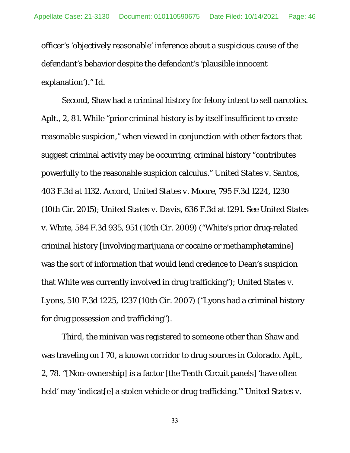officer's 'objectively reasonable' inference about a suspicious cause of the defendant's behavior despite the defendant's 'plausible innocent explanation')." *Id*.

*Second*, Shaw had a criminal history for felony intent to sell narcotics. Aplt., 2, 81. While "prior criminal history is by itself insufficient to create reasonable suspicion," when viewed in conjunction with other factors that suggest criminal activity may be occurring, criminal history "contributes powerfully to the reasonable suspicion calculus." *United States v. Santos*, 403 F.3d at 1132. *Accord, United States v. Moore*, 795 F.3d 1224, 1230 (10th Cir. 2015); *United States v. Davis*, 636 F.3d at 1291. *See United States v. White*, 584 F.3d 935, 951 (10th Cir. 2009) ("White's prior drug-related criminal history [involving marijuana or cocaine or methamphetamine] was the sort of information that would lend credence to Dean's suspicion that White was currently involved in drug trafficking"); *United States v. Lyons*, 510 F.3d 1225, 1237 (10th Cir. 2007) ("Lyons had a criminal history for drug possession and trafficking").

*Third*, the minivan was registered to someone other than Shaw and was traveling on I 70, a known corridor to drug sources in Colorado. Aplt., 2, 78. "[Non-ownership] is a factor [the Tenth Circuit panels] 'have often held' may 'indicat[e] a stolen vehicle or drug trafficking.'" *United States v.*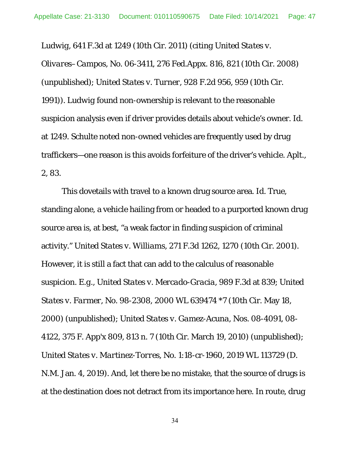*Ludwig*, 641 F.3d at 1249 (10th Cir. 2011) (*citing United States v.* 

*Olivares–Campos*, No. 06-3411, 276 Fed.Appx. 816, 821 (10th Cir. 2008) (unpublished); *United States v. Turner*, 928 F.2d 956, 959 (10th Cir. 1991)). *Ludwig* found non-ownership is relevant to the reasonable suspicion analysis even if driver provides details about vehicle's owner. *Id.* at 1249. Schulte noted non-owned vehicles are frequently used by drug traffickers—one reason is this avoids forfeiture of the driver's vehicle. Aplt., 2, 83.

 This dovetails with travel to a known drug source area. *Id.* True, standing alone, a vehicle hailing from or headed to a purported known drug source area is, at best, "a weak factor in finding suspicion of criminal activity." *United States v. Williams*, 271 F.3d 1262, 1270 (10th Cir. 2001). However, it is still a fact that can add to the calculus of reasonable suspicion. *E.g., United States v. Mercado-Gracia,* 989 F.3d at 839; *United States v. Farmer*, No. 98-2308, 2000 WL 639474 \*7 (10th Cir. May 18, 2000) (unpublished); *United States v. Gamez-Acuna*, Nos. 08-4091, 08- 4122, 375 F. App'x 809, 813 n. 7 (10th Cir. March 19, 2010) (unpublished); *United States v. Martinez-Torres*, No. 1:18-cr-1960, 2019 WL 113729 (D. N.M. Jan. 4, 2019). And, let there be no mistake, that the source of drugs is at the destination does not detract from its importance here. In route, drug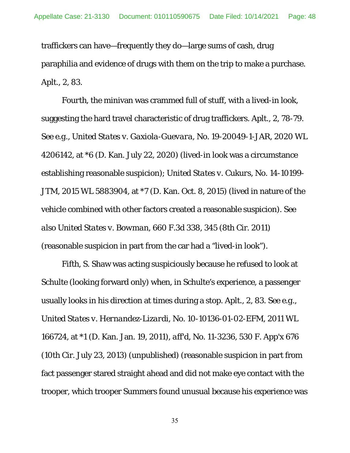traffickers can have—frequently they do—large sums of cash, drug paraphilia and evidence of drugs with them on the trip to make a purchase. Aplt., 2, 83.

*Fourth*, the minivan was crammed full of stuff, with a lived-in look, suggesting the hard travel characteristic of drug traffickers. Aplt., 2, 78-79. *See e.g., United States v. Gaxiola-Guevara*, No. 19-20049-1-JAR, 2020 WL 4206142, at \*6 (D. Kan. July 22, 2020) (lived-in look was a circumstance establishing reasonable suspicion); *United States v. Cukurs*, No. 14-10199- JTM, 2015 WL 5883904, at \*7 (D. Kan. Oct. 8, 2015) (lived in nature of the vehicle combined with other factors created a reasonable suspicion). *See also United States v. Bowman*, 660 F.3d 338, 345 (8th Cir. 2011) (reasonable suspicion in part from the car had a "lived-in look").

*Fifth*, S. Shaw was acting suspiciously because he refused to look at Schulte (looking forward only) when, in Schulte's experience, a passenger usually looks in his direction at times during a stop. Aplt., 2, 83. *See e.g., United States v. Hernandez-Lizardi*, No. 10-10136-01-02-EFM, 2011 WL 166724, at \*1 (D. Kan. Jan. 19, 2011), *aff'd*, No. 11-3236, 530 F. App'x 676 (10th Cir. July 23, 2013) (unpublished) (reasonable suspicion in part from fact passenger stared straight ahead and did not make eye contact with the trooper, which trooper Summers found unusual because his experience was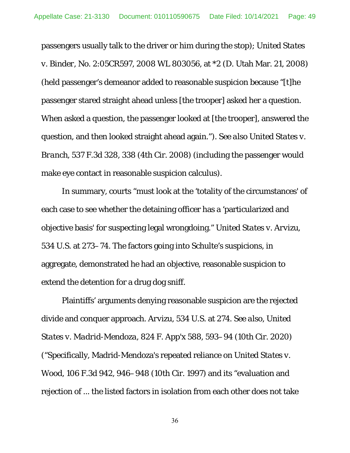passengers usually talk to the driver or him during the stop); *United States v. Binder*, No. 2:05CR597, 2008 WL 803056, at \*2 (D. Utah Mar. 21, 2008) (held passenger's demeanor added to reasonable suspicion because "[t]he passenger stared straight ahead unless [the trooper] asked her a question. When asked a question, the passenger looked at [the trooper], answered the question, and then looked straight ahead again."). *See also United States v. Branch*, 537 F.3d 328, 338 (4th Cir. 2008) (including the passenger would make eye contact in reasonable suspicion calculus).

 In summary, courts "must look at the 'totality of the circumstances' of each case to see whether the detaining officer has a 'particularized and objective basis' for suspecting legal wrongdoing." *United States v. Arvizu*, 534 U.S. at 273–74. The factors going into Schulte's suspicions, in aggregate, demonstrated he had an objective, reasonable suspicion to extend the detention for a drug dog sniff.

 Plaintiffs' arguments denying reasonable suspicion are the rejected divide and conquer approach. *Arvizu*, 534 U.S. at 274. *See also, United States v. Madrid-Mendoza*, 824 F. App'x 588, 593–94 (10th Cir. 2020) ("Specifically, Madrid-Mendoza's repeated reliance on *United States v. Wood*, 106 F.3d 942, 946–948 (10th Cir. 1997) and its "evaluation and rejection of ... the listed factors in isolation from each other does not take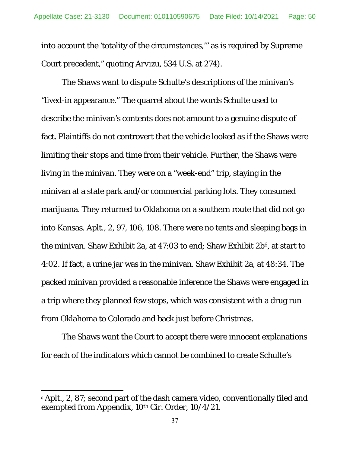into account the 'totality of the circumstances,'" as is required by Supreme Court precedent," *quoting Arvizu*, 534 U.S. at 274).

 The Shaws want to dispute Schulte's descriptions of the minivan's "lived-in appearance." The quarrel about the words Schulte used to describe the minivan's contents does not amount to a genuine dispute of fact. Plaintiffs do not controvert that the vehicle looked as if the Shaws were limiting their stops and time from their vehicle. Further, the Shaws were living in the minivan. They were on a "week-end" trip, staying in the minivan at a state park and/or commercial parking lots. They consumed marijuana. They returned to Oklahoma on a southern route that did not go into Kansas. Aplt., 2, 97, 106, 108. There were no tents and sleeping bags in the minivan. Shaw Exhibit 2a, at  $47:03$  to end; Shaw Exhibit  $2b<sup>6</sup>$ , at start to 4:02. If fact, a urine jar was in the minivan. Shaw Exhibit 2a, at 48:34. The packed minivan provided a reasonable inference the Shaws were engaged in a trip where they planned few stops, which was consistent with a drug run from Oklahoma to Colorado and back just before Christmas.

 The Shaws want the Court to accept there were innocent explanations for each of the indicators which cannot be combined to create Schulte's

l

<sup>&</sup>lt;sup>6</sup> Aplt., 2, 87; second part of the dash camera video, conventionally filed and exempted from Appendix, 10<sup>th</sup> Cir. Order, 10/4/21.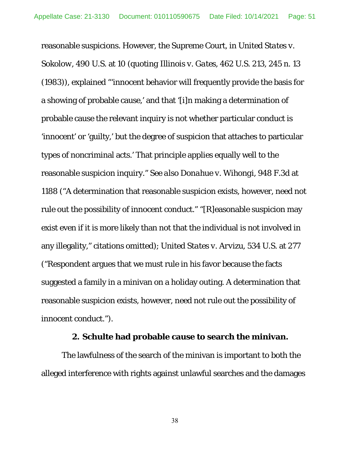reasonable suspicions. However, the Supreme Court, in *United States v. Sokolow*, 490 U.S. at 10 (*quoting Illinois v. Gates*, 462 U.S. 213, 245 n. 13 (1983)), explained "'innocent behavior will frequently provide the basis for a showing of probable cause,' and that '[i]n making a determination of probable cause the relevant inquiry is not whether particular conduct is 'innocent' or 'guilty,' but the degree of suspicion that attaches to particular types of noncriminal acts.' That principle applies equally well to the reasonable suspicion inquiry." *See also Donahue v. Wihongi*, 948 F.3d at 1188 ("A determination that reasonable suspicion exists, however, need not rule out the possibility of innocent conduct." "[R]easonable suspicion may exist even if it is more likely than not that the individual is not involved in any illegality," citations omitted); *United States v. Arvizu*, 534 U.S. at 277 ("Respondent argues that we must rule in his favor because the facts suggested a family in a minivan on a holiday outing. A determination that reasonable suspicion exists, however, need not rule out the possibility of innocent conduct.").

#### **2. Schulte had probable cause to search the minivan.**

 The lawfulness of the search of the minivan is important to both the alleged interference with rights against unlawful searches and the damages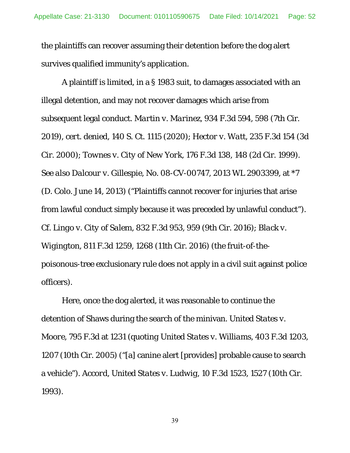the plaintiffs can recover assuming their detention before the dog alert survives qualified immunity's application.

 A plaintiff is limited, in a § 1983 suit, to damages associated with an illegal detention, and may not recover damages which arise from subsequent legal conduct. *Martin v. Marinez*, 934 F.3d 594, 598 (7th Cir. 2019), *cert. denied*, 140 S. Ct. 1115 (2020); *Hector v. Watt*, 235 F.3d 154 (3d Cir. 2000); *Townes v. City of New York*, 176 F.3d 138, 148 (2d Cir. 1999). *See also Dalcour v. Gillespie*, No. 08-CV-00747, 2013 WL 2903399, at \*7 (D. Colo. June 14, 2013) ("Plaintiffs cannot recover for injuries that arise from lawful conduct simply because it was preceded by unlawful conduct"). *Cf. Lingo v. City of Salem*, 832 F.3d 953, 959 (9th Cir. 2016); *Black v. Wigington*, 811 F.3d 1259, 1268 (11th Cir. 2016) (the fruit-of-thepoisonous-tree exclusionary rule does not apply in a civil suit against police officers).

 Here, once the dog alerted, it was reasonable to continue the detention of Shaws during the search of the minivan. *United States v. Moore*, 795 F.3d at 1231 (*quoting United States v. Williams*, 403 F.3d 1203, 1207 (10th Cir. 2005) ("[a] canine alert [provides] probable cause to search a vehicle"). *Accord*, *United States v. Ludwig,* 10 F.3d 1523, 1527 (10th Cir. 1993).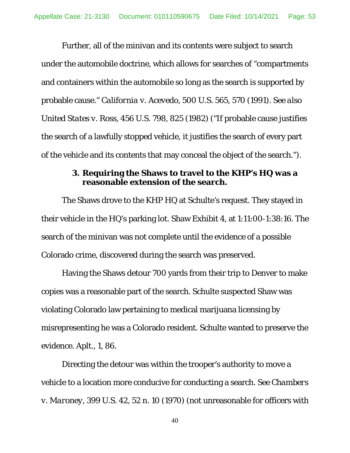Further, all of the minivan and its contents were subject to search under the automobile doctrine, which allows for searches of "compartments and containers within the automobile so long as the search is supported by probable cause." *California v. Acevedo*, 500 U.S. 565, 570 (1991). *See also United States v. Ross*, 456 U.S. 798, 825 (1982) ("If probable cause justifies the search of a lawfully stopped vehicle, it justifies the search of every part of the vehicle and its contents that may conceal the object of the search.").

#### **3. Requiring the Shaws to travel to the KHP's HQ was a reasonable extension of the search.**

 The Shaws drove to the KHP HQ at Schulte's request. They stayed in their vehicle in the HQ's parking lot. Shaw Exhibit 4, at 1:11:00-1:38:16. The search of the minivan was not complete until the evidence of a possible Colorado crime, discovered during the search was preserved.

 Having the Shaws detour 700 yards from their trip to Denver to make copies was a reasonable part of the search. Schulte suspected Shaw was violating Colorado law pertaining to medical marijuana licensing by misrepresenting he was a Colorado resident. Schulte wanted to preserve the evidence. Aplt., 1, 86.

 Directing the detour was within the trooper's authority to move a vehicle to a location more conducive for conducting a search. *See Chambers v. Maroney*, 399 U.S. 42, 52 n. 10 (1970) (not unreasonable for officers with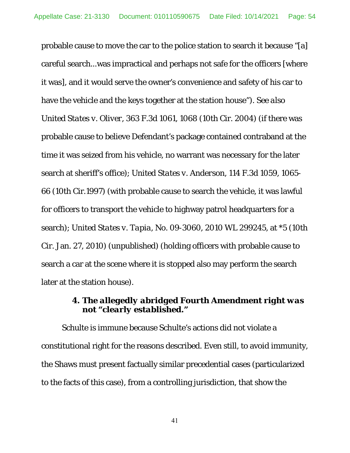probable cause to move the car to the police station to search it because "[a] careful search...was impractical and perhaps not safe for the officers [where it was], and it would serve the owner's convenience and safety of his car to have the vehicle and the keys together at the station house"). *See also United States v. Oliver*, 363 F.3d 1061, 1068 (10th Cir. 2004) (if there was probable cause to believe Defendant's package contained contraband at the time it was seized from his vehicle, no warrant was necessary for the later search at sheriff's office); *United States v. Anderson*, 114 F.3d 1059, 1065- 66 (10th Cir.1997) (with probable cause to search the vehicle, it was lawful for officers to transport the vehicle to highway patrol headquarters for a search); *United States v. Tapia*, No. 09-3060, 2010 WL 299245, at \*5 (10th Cir. Jan. 27, 2010) (unpublished) (holding officers with probable cause to search a car at the scene where it is stopped also may perform the search later at the station house).

## **4.** *The allegedly abridged Fourth Amendment right was not "clearly established."*

 Schulte is immune because Schulte's actions did not violate a constitutional right for the reasons described. Even still, to avoid immunity, the Shaws must present factually similar precedential cases (particularized to the facts of this case), from a controlling jurisdiction, that show the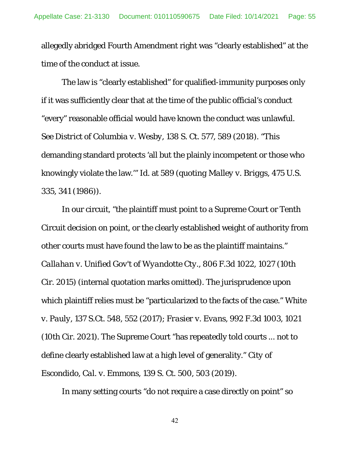allegedly abridged Fourth Amendment right was "clearly established" at the time of the conduct at issue.

The law is "clearly established" for qualified-immunity purposes only if it was sufficiently clear that at the time of the public official's conduct "every" reasonable official would have known the conduct was unlawful. *See District of Columbia v. Wesby*, 138 S. Ct. 577, 589 (2018). "This demanding standard protects 'all but the plainly incompetent or those who knowingly violate the law.'" *Id.* at 589 (*quoting Malley v. Briggs*, 475 U.S. 335, 341 (1986)).

In our circuit, "the plaintiff must point to a Supreme Court or Tenth Circuit decision on point, or the clearly established weight of authority from other courts must have found the law to be as the plaintiff maintains." *Callahan v. Unified Gov't of Wyandotte Cty*., 806 F.3d 1022, 1027 (10th Cir. 2015) (internal quotation marks omitted). The jurisprudence upon which plaintiff relies must be "particularized to the facts of the case." *White v. Pauly*, 137 S.Ct. 548, 552 (2017); *Frasier v. Evans*, 992 F.3d 1003, 1021 (10th Cir. 2021). The Supreme Court "has repeatedly told courts ... not to define clearly established law at a high level of generality." *City of Escondido, Cal. v. Emmons*, 139 S. Ct. 500, 503 (2019).

In many setting courts "do not require a case directly on point" so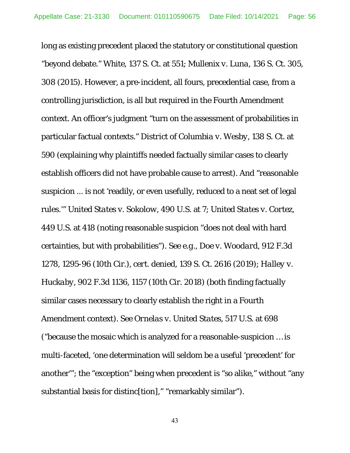long as existing precedent placed the statutory or constitutional question "beyond debate." *White*, 137 S. Ct. at 551; *Mullenix v. Luna*, 136 S. Ct. 305, 308 (2015). However, a pre-incident, all fours, precedential case, from a controlling jurisdiction, is all but required in the Fourth Amendment context. An officer's judgment "turn on the assessment of probabilities in particular factual contexts." *District of Columbia v. Wesby*, 138 S. Ct. at 590 (explaining why plaintiffs needed factually similar cases to clearly establish officers did not have probable cause to arrest). And "reasonable suspicion ... is not 'readily, or even usefully, reduced to a neat set of legal rules.'" *United States v. Sokolow*, 490 U.S. at 7; *United States v. Cortez*, 449 U.S. at 418 (noting reasonable suspicion "does not deal with hard certainties, but with probabilities"). S*ee e.g., Doe v. Woodard*, 912 F.3d 1278, 1295-96 (10th Cir.), *cert. denied*, 139 S. Ct. 2616 (2019); *Halley v. Huckaby*, 902 F.3d 1136, 1157 (10th Cir. 2018) (both finding factually similar cases necessary to clearly establish the right in a Fourth Amendment context). *See Ornelas v. United States*, 517 U.S. at 698 ("because the mosaic which is analyzed for a reasonable-suspicion … is multi-faceted, 'one determination will seldom be a useful 'precedent' for another'"; the "exception" being when precedent is "so alike," without "any substantial basis for distinc[tion]," "remarkably similar").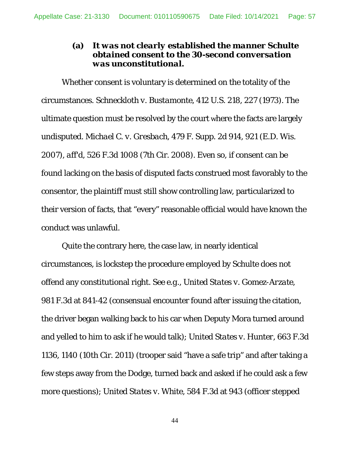## **(a)** *It was not clearly established the manner Schulte obtained consent to the 30-second conversation was unconstitutional***.**

Whether consent is voluntary is determined on the totality of the circumstances. *Schneckloth v. Bustamonte*, 412 U.S. 218, 227 (1973). The ultimate question must be resolved by the court where the facts are largely undisputed. *Michael C. v. Gresbach*, 479 F. Supp. 2d 914, 921 (E.D. Wis. 2007), *aff'd*, 526 F.3d 1008 (7th Cir. 2008). Even so, if consent can be found lacking on the basis of disputed facts construed most favorably to the consentor, the plaintiff must still show controlling law, particularized to their version of facts, that "every" reasonable official would have known the conduct was unlawful.

Quite the contrary here, the case law, in nearly identical circumstances, is lockstep the procedure employed by Schulte does not offend any constitutional right. *See e.g., United States v. Gomez-Arzate*, 981 F.3d at 841-42 (consensual encounter found after issuing the citation, the driver began walking back to his car when Deputy Mora turned around and yelled to him to ask if he would talk); *United States v. Hunter*, 663 F.3d 1136, 1140 (10th Cir. 2011) (trooper said "have a safe trip" and after taking a few steps away from the Dodge, turned back and asked if he could ask a few more questions); *United States v. White*, 584 F.3d at 943 (officer stepped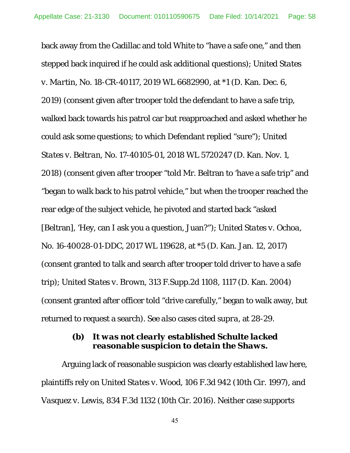back away from the Cadillac and told White to "have a safe one," and then stepped back inquired if he could ask additional questions); *United States v. Martin*, No. 18-CR-40117, 2019 WL 6682990, at \*1 (D. Kan. Dec. 6, 2019) (consent given after trooper told the defendant to have a safe trip, walked back towards his patrol car but reapproached and asked whether he could ask some questions; to which Defendant replied "sure"); *United States v. Beltran*, No. 17-40105-01, 2018 WL 5720247 (D. Kan. Nov. 1, 2018) (consent given after trooper "told Mr. Beltran to 'have a safe trip" and "began to walk back to his patrol vehicle," but when the trooper reached the rear edge of the subject vehicle, he pivoted and started back "asked [Beltran], 'Hey, can I ask you a question, Juan?"); *United States v. Ochoa*, No. 16-40028-01-DDC, 2017 WL 119628, at \*5 (D. Kan. Jan. 12, 2017) (consent granted to talk and search after trooper told driver to have a safe trip); *United States v. Brown*, 313 F.Supp.2d 1108, 1117 (D. Kan. 2004) (consent granted after officer told "drive carefully," began to walk away, but returned to request a search). *See also* cases cited *supra,* at 28-29.

### **(b)** *It was not clearly established Schulte lacked reasonable suspicion to detain the Shaws.*

 Arguing lack of reasonable suspicion was clearly established law here, plaintiffs rely on *United States v. Wood*, 106 F.3d 942 (10th Cir. 1997), and *Vasquez v. Lewis*, 834 F.3d 1132 (10th Cir. 2016). Neither case supports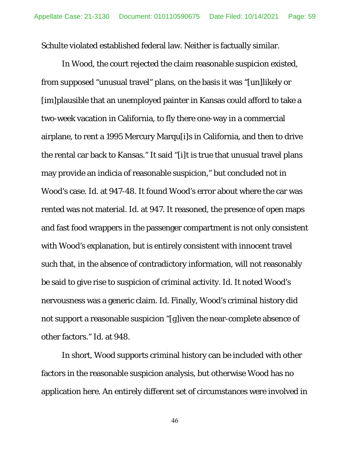Schulte violated established federal law. Neither is factually similar.

 In *Wood*, the court rejected the claim reasonable suspicion existed, from supposed "unusual travel" plans, on the basis it was "[un]likely or [im]plausible that an unemployed painter in Kansas could afford to take a two-week vacation in California, to fly there one-way in a commercial airplane, to rent a 1995 Mercury Marqu[i]s in California, and then to drive the rental car back to Kansas." It said "[i]t is true that unusual travel plans may provide an indicia of reasonable suspicion," but concluded not in Wood's case. *Id.* at 947-48. It found Wood's error about where the car was rented was not material. *Id.* at 947. It reasoned, the presence of open maps and fast food wrappers in the passenger compartment is not only consistent with Wood's explanation, but is entirely consistent with innocent travel such that, in the absence of contradictory information, will not reasonably be said to give rise to suspicion of criminal activity. *Id.* It noted Wood's nervousness was a generic claim. *Id.* Finally, Wood's criminal history did not support a reasonable suspicion "[g]iven the near-complete absence of other factors." *Id*. at 948.

In short, *Wood* supports criminal history can be included with other factors in the reasonable suspicion analysis, but otherwise *Wood* has no application here. An entirely different set of circumstances were involved in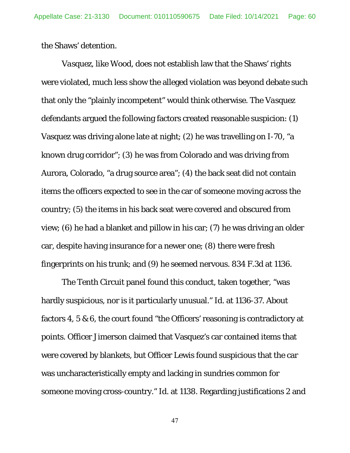the Shaws' detention.

*Vasquez*, like *Wood*, does not establish law that the Shaws' rights were violated, much less show the alleged violation was beyond debate such that only the "plainly incompetent" would think otherwise. The *Vasquez*  defendants argued the following factors created reasonable suspicion: (1) Vasquez was driving alone late at night; (2) he was travelling on I-70, "a known drug corridor"; (3) he was from Colorado and was driving from Aurora, Colorado, "a drug source area"; (4) the back seat did not contain items the officers expected to see in the car of someone moving across the country; (5) the items in his back seat were covered and obscured from view; (6) he had a blanket and pillow in his car; (7) he was driving an older car, despite having insurance for a newer one; (8) there were fresh fingerprints on his trunk; and (9) he seemed nervous. 834 F.3d at 1136.

The Tenth Circuit panel found this conduct, taken together, "was hardly suspicious, nor is it particularly unusual." *Id.* at 1136-37. About factors 4, 5 & 6, the court found "the Officers' reasoning is contradictory at points. Officer Jimerson claimed that Vasquez's car contained items that were covered by blankets, but Officer Lewis found suspicious that the car was uncharacteristically empty and lacking in sundries common for someone moving cross-country." *Id.* at 1138. Regarding justifications 2 and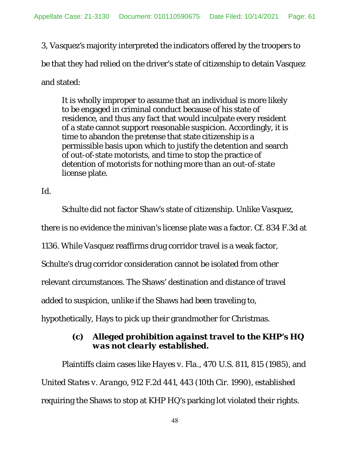3, *Vasquez's* majority interpreted the indicators offered by the troopers to be that they had relied on the driver's state of citizenship to detain Vasquez and stated:

It is wholly improper to assume that an individual is more likely to be engaged in criminal conduct because of his state of residence, and thus any fact that would inculpate every resident of a state cannot support reasonable suspicion. Accordingly, it is time to abandon the pretense that state citizenship is a permissible basis upon which to justify the detention and search of out-of-state motorists, and time to stop the practice of detention of motorists for nothing more than an out-of-state license plate.

*Id.* 

Schulte did not factor Shaw's state of citizenship. Unlike *Vasquez*,

there is no evidence the minivan's license plate was a factor. *Cf.* 834 F.3d at

1136. While *Vasquez* reaffirms drug corridor travel is a weak factor,

Schulte's drug corridor consideration cannot be isolated from other

relevant circumstances. The Shaws' destination and distance of travel

added to suspicion, unlike if the Shaws had been traveling to,

hypothetically, Hays to pick up their grandmother for Christmas.

# **(c)** *Alleged prohibition against travel to the KHP's HQ was not clearly established.*

 Plaintiffs claim cases like *Hayes v. Fla*., 470 U.S. 811, 815 (1985), and *United States v. Arango*, 912 F.2d 441, 443 (10th Cir. 1990), established requiring the Shaws to stop at KHP HQ's parking lot violated their rights.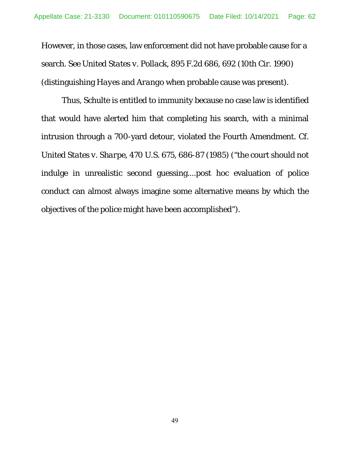However, in those cases, law enforcement did not have probable cause for a search. *See United States v. Pollack*, 895 F.2d 686, 692 (10th Cir. 1990) (distinguishing *Hayes* and *Arango* when probable cause was present).

Thus, Schulte is entitled to immunity because no case law is identified that would have alerted him that completing his search, with a minimal intrusion through a 700-yard detour, violated the Fourth Amendment. *Cf. United States v. Sharpe*, 470 U.S. 675, 686-87 (1985) ("the court should not indulge in unrealistic second guessing....post hoc evaluation of police conduct can almost always imagine some alternative means by which the objectives of the police might have been accomplished").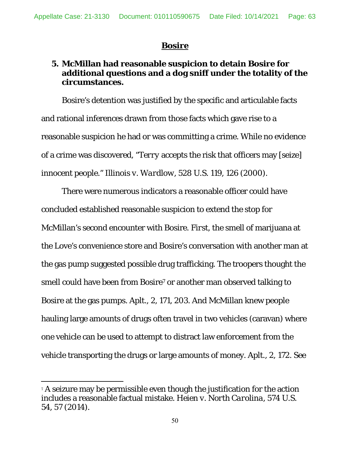## *Bosire*

### **5. McMillan had reasonable suspicion to detain Bosire for additional questions and a dog sniff under the totality of the circumstances.**

 Bosire's detention was justified by the specific and articulable facts and rational inferences drawn from those facts which gave rise to a reasonable suspicion he had or was committing a crime. While no evidence of a crime was discovered, "*Terry* accepts the risk that officers may [seize] innocent people." *Illinois v. Wardlow*, 528 U.S. 119, 126 (2000).

 There were numerous indicators a reasonable officer could have concluded established reasonable suspicion to extend the stop for McMillan's second encounter with Bosire. *First*, the smell of marijuana at the Love's convenience store and Bosire's conversation with another man at the gas pump suggested possible drug trafficking. The troopers thought the smell could have been from Bosire<sup>7</sup> or another man observed talking to Bosire at the gas pumps. Aplt., 2, 171, 203. And McMillan knew people hauling large amounts of drugs often travel in two vehicles (caravan) where one vehicle can be used to attempt to distract law enforcement from the vehicle transporting the drugs or large amounts of money. Aplt., 2, 172. *See* 

 $\overline{a}$ 

<sup>7</sup> A seizure may be permissible even though the justification for the action includes a reasonable factual mistake. *Heien v. North Carolina*, 574 U.S. 54, 57 (2014).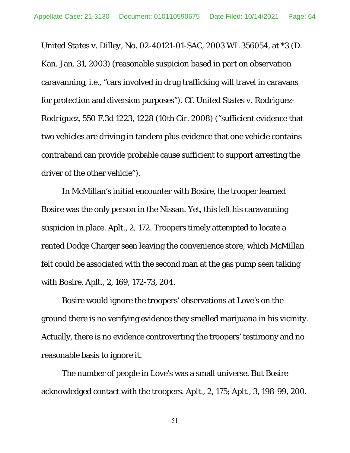*United States v. Dilley*, No. 02-40121-01-SAC, 2003 WL 356054, at \*3 (D. Kan. Jan. 31, 2003) (reasonable suspicion based in part on observation caravanning, *i.e.*, "cars involved in drug trafficking will travel in caravans for protection and diversion purposes"). *Cf. United States v. Rodriguez-Rodriguez*, 550 F.3d 1223, 1228 (10th Cir. 2008) ("sufficient evidence that two vehicles are driving in tandem plus evidence that one vehicle contains contraband can provide probable cause sufficient to support arresting the driver of the other vehicle").

 In McMillan's initial encounter with Bosire, the trooper learned Bosire was the only person in the Nissan. Yet, this left his caravanning suspicion in place. Aplt., 2, 172. Troopers timely attempted to locate a rented Dodge Charger seen leaving the convenience store, which McMillan felt could be associated with the second man at the gas pump seen talking with Bosire. Aplt., 2, 169, 172-73, 204.

 Bosire would ignore the troopers' observations at Love's on the ground there is no verifying evidence they smelled marijuana in his vicinity. Actually, there is no evidence controverting the troopers' testimony and no reasonable basis to ignore it.

 The number of people in Love's was a small universe. But Bosire acknowledged contact with the troopers. Aplt., 2, 175; Aplt., 3, 198-99, 200.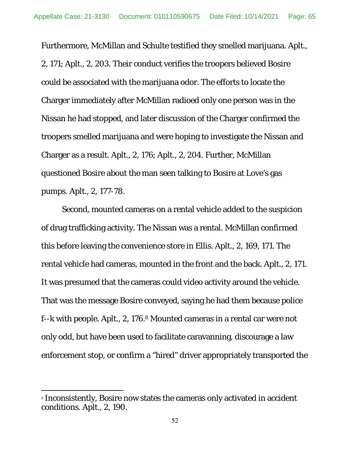Furthermore, McMillan and Schulte testified they smelled marijuana. Aplt., 2, 171; Aplt., 2, 203. Their conduct verifies the troopers believed Bosire could be associated with the marijuana odor. The efforts to locate the Charger immediately after McMillan radioed only one person was in the Nissan he had stopped, and later discussion of the Charger confirmed the troopers smelled marijuana and were hoping to investigate the Nissan and Charger as a result. Aplt., 2, 176; Aplt., 2, 204. Further, McMillan questioned Bosire about the man seen talking to Bosire at Love's gas pumps. Aplt., 2, 177-78.

*Second*, mounted cameras on a rental vehicle added to the suspicion of drug trafficking activity. The Nissan was a rental. McMillan confirmed this before leaving the convenience store in Ellis. Aplt., 2, 169, 171. The rental vehicle had cameras, mounted in the front and the back. Aplt., 2, 171. It was presumed that the cameras could video activity around the vehicle. That was the message Bosire conveyed, saying he had them because police f--k with people. Aplt., 2, 176.8 Mounted cameras in a rental car were not only odd, but have been used to facilitate caravanning, discourage a law enforcement stop, or confirm a "hired" driver appropriately transported the

l

<sup>8</sup> Inconsistently, Bosire now states the cameras only activated in accident conditions. Aplt., 2, 190.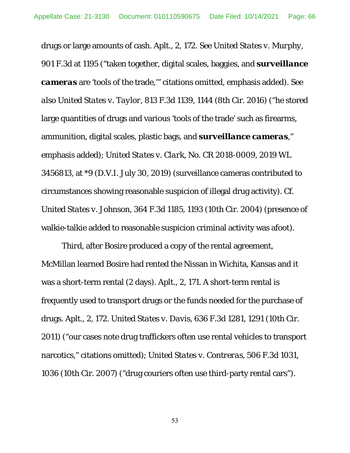drugs or large amounts of cash. Aplt., 2, 172. *See United States v. Murphy*, 901 F.3d at 1195 ("taken together, digital scales, baggies, and *surveillance cameras* are 'tools of the trade,'" citations omitted, emphasis added). *See also United States v. Taylor*, 813 F.3d 1139, 1144 (8th Cir. 2016) ("he stored large quantities of drugs and various 'tools of the trade' such as firearms, ammunition, digital scales, plastic bags, and *surveillance cameras*," emphasis added); *United States v. Clark*, No. CR 2018-0009, 2019 WL 3456813, at \*9 (D.V.I. July 30, 2019) (surveillance cameras contributed to circumstances showing reasonable suspicion of illegal drug activity). *Cf. United States v. Johnson*, 364 F.3d 1185, 1193 (10th Cir. 2004) (presence of walkie-talkie added to reasonable suspicion criminal activity was afoot).

*Third*, after Bosire produced a copy of the rental agreement, McMillan learned Bosire had rented the Nissan in Wichita, Kansas and it was a short-term rental (2 days). Aplt., 2, 171. A short-term rental is frequently used to transport drugs or the funds needed for the purchase of drugs. Aplt., 2, 172. *United States v. Davis*, 636 F.3d 1281, 1291 (10th Cir. 2011) ("our cases note drug traffickers often use rental vehicles to transport narcotics," citations omitted); *United States v. Contreras*, 506 F.3d 1031, 1036 (10th Cir. 2007) ("drug couriers often use third-party rental cars").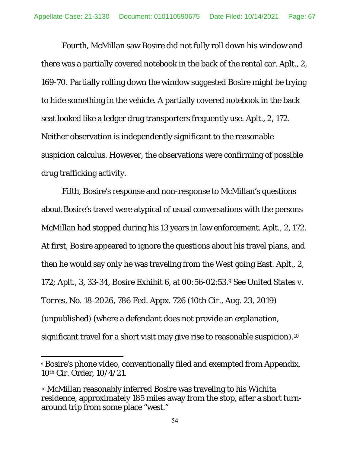*Fourth*, McMillan saw Bosire did not fully roll down his window and there was a partially covered notebook in the back of the rental car. Aplt., 2, 169-70. Partially rolling down the window suggested Bosire might be trying to hide something in the vehicle. A partially covered notebook in the back seat looked like a ledger drug transporters frequently use. Aplt., 2, 172. Neither observation is independently significant to the reasonable suspicion calculus. However, the observations were confirming of possible drug trafficking activity.

*Fifth*, Bosire's response and non-response to McMillan's questions about Bosire's travel were atypical of usual conversations with the persons McMillan had stopped during his 13 years in law enforcement. Aplt., 2, 172. At first, Bosire appeared to ignore the questions about his travel plans, and then he would say only he was traveling from the West going East. Aplt., 2, 172; Aplt., 3, 33-34, Bosire Exhibit 6, at 00:56-02:53.9 *See United States v. Torres*, No. 18-2026, 786 Fed. Appx. 726 (10th Cir., Aug. 23, 2019) (unpublished) (where a defendant does not provide an explanation, significant travel for a short visit may give rise to reasonable suspicion).<sup>10</sup>

 $\overline{a}$ 

<sup>9</sup> Bosire's phone video, conventionally filed and exempted from Appendix, 10th Cir. Order, 10/4/21.

<sup>10</sup> McMillan reasonably inferred Bosire was traveling to his Wichita residence, approximately 185 miles away from the stop, after a short turnaround trip from some place "west."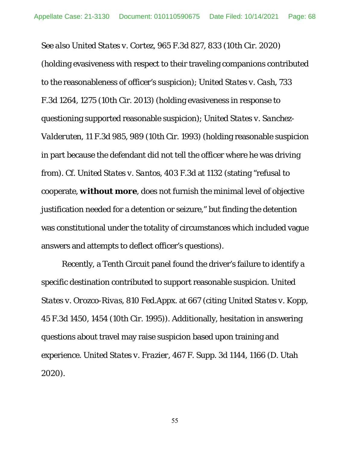*See also United States v. Cortez*, 965 F.3d 827, 833 (10th Cir. 2020) (holding evasiveness with respect to their traveling companions contributed to the reasonableness of officer's suspicion); *United States v. Cash*, 733 F.3d 1264, 1275 (10th Cir. 2013) (holding evasiveness in response to questioning supported reasonable suspicion); *United States v. Sanchez-Valderuten*, 11 F.3d 985, 989 (10th Cir. 1993) (holding reasonable suspicion in part because the defendant did not tell the officer where he was driving from). *Cf. United States v. Santos*, 403 F.3d at 1132 (stating "refusal to cooperate, *without more*, does not furnish the minimal level of objective justification needed for a detention or seizure," but finding the detention was constitutional under the totality of circumstances which included vague answers and attempts to deflect officer's questions).

 Recently, a Tenth Circuit panel found the driver's failure to identify a specific destination contributed to support reasonable suspicion. *United States v. Orozco-Rivas*, 810 Fed.Appx. at 667 (*citing United States v. Kopp*, 45 F.3d 1450, 1454 (10th Cir. 1995)). Additionally, hesitation in answering questions about travel may raise suspicion based upon training and experience. *United States v. Frazier*, 467 F. Supp. 3d 1144, 1166 (D. Utah 2020).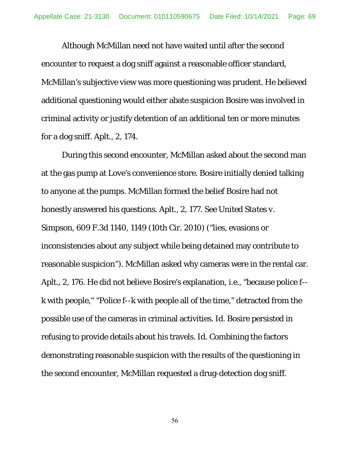Although McMillan need not have waited until after the second encounter to request a dog sniff against a reasonable officer standard, McMillan's subjective view was more questioning was prudent. He believed additional questioning would either abate suspicion Bosire was involved in criminal activity or justify detention of an additional ten or more minutes for a dog sniff. Aplt., 2, 174.

 During this second encounter, McMillan asked about the second man at the gas pump at Love's convenience store. Bosire initially denied talking to anyone at the pumps. McMillan formed the belief Bosire had not honestly answered his questions. Aplt., 2, 177. *See United States v. Simpson*, 609 F.3d 1140, 1149 (10th Cir. 2010) ("lies, evasions or inconsistencies about any subject while being detained may contribute to reasonable suspicion"). McMillan asked why cameras were in the rental car. Aplt., 2, 176. He did not believe Bosire's explanation, *i.e.*, "because police f- k with people," "Police f--k with people all of the time," detracted from the possible use of the cameras in criminal activities. *Id.* Bosire persisted in refusing to provide details about his travels. *Id.* Combining the factors demonstrating reasonable suspicion with the results of the questioning in the second encounter, McMillan requested a drug-detection dog sniff.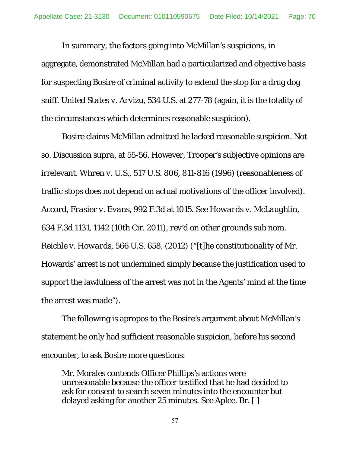In summary, the factors going into McMillan's suspicions, in aggregate, demonstrated McMillan had a particularized and objective basis for suspecting Bosire of criminal activity to extend the stop for a drug dog sniff. *United States v. Arvizu*, 534 U.S. at 277-78 (again, it is the totality of the circumstances which determines reasonable suspicion).

 Bosire claims McMillan admitted he lacked reasonable suspicion. Not so. Discussion *supra*, at 55-56. However, Trooper's subjective opinions are irrelevant. *Whren v. U.S*., 517 U.S. 806, 811-816 (1996) (reasonableness of traffic stops does not depend on actual motivations of the officer involved). *Accord, Frasier v. Evans*, 992 F.3d at 1015. *See Howards v. McLaughlin*, 634 F.3d 1131, 1142 (10th Cir. 2011), *rev'd on other grounds sub nom. Reichle v. Howards*, 566 U.S. 658, (2012) ("[t]he constitutionality of Mr. Howards' arrest is not undermined simply because the justification used to support the lawfulness of the arrest was not in the Agents' mind at the time the arrest was made").

 The following is apropos to the Bosire's argument about McMillan's statement he only had sufficient reasonable suspicion, before his second encounter, to ask Bosire more questions:

Mr. Morales contends Officer Phillips's actions were unreasonable because the officer testified that he had decided to ask for consent to search seven minutes into the encounter but delayed asking for another 25 minutes. See Aplee. Br. [ ]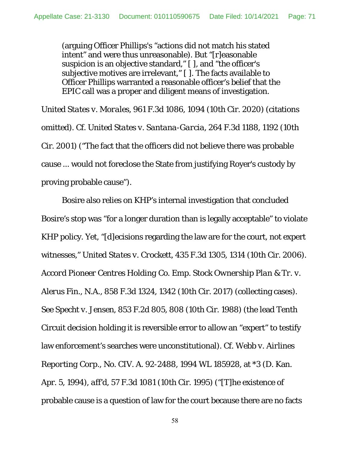(arguing Officer Phillips's "actions did not match his stated intent" and were thus unreasonable). But "[r]easonable suspicion is an objective standard," [ ], and "the officer's subjective motives are irrelevant," [ ]. The facts available to Officer Phillips warranted a reasonable officer's belief that the EPIC call was a proper and diligent means of investigation.

*United States v. Morales*, 961 F.3d 1086, 1094 (10th Cir. 2020) (citations omitted). *Cf. United States v. Santana-Garcia*, 264 F.3d 1188, 1192 (10th Cir. 2001) ("The fact that the officers did not believe there was probable cause ... would not foreclose the State from justifying Royer's custody by proving probable cause").

 Bosire also relies on KHP's internal investigation that concluded Bosire's stop was "for a longer duration than is legally acceptable" to violate KHP policy. Yet, "[d]ecisions regarding the law are for the court, not expert witnesses," *United States v. Crockett*, 435 F.3d 1305, 1314 (10th Cir. 2006). *Accord Pioneer Centres Holding Co. Emp. Stock Ownership Plan & Tr. v. Alerus Fin., N.A.*, 858 F.3d 1324, 1342 (10th Cir. 2017) (collecting cases). *See Specht v. Jensen*, 853 F.2d 805, 808 (10th Cir. 1988) (the lead Tenth Circuit decision holding it is reversible error to allow an "expert" to testify law enforcement's searches were unconstitutional). *Cf. Webb v. Airlines Reporting Corp.,* No. CIV. A. 92-2488, 1994 WL 185928, at \*3 (D. Kan. Apr. 5, 1994), *aff'd*, 57 F.3d 1081 (10th Cir. 1995) ("[T]he existence of probable cause is a question of law for the court because there are no facts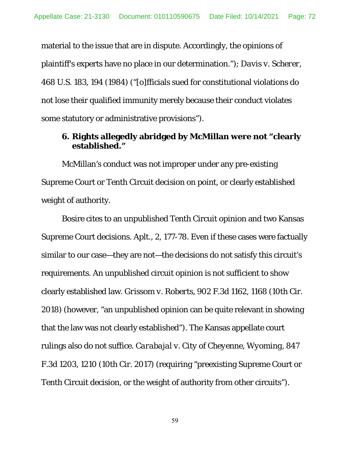material to the issue that are in dispute. Accordingly, the opinions of plaintiff's experts have no place in our determination."); *Davis v. Scherer*, 468 U.S. 183, 194 (1984) ("[o]fficials sued for constitutional violations do not lose their qualified immunity merely because their conduct violates some statutory or administrative provisions").

### **6. Rights allegedly abridged by McMillan were not "clearly established."**

 McMillan's conduct was not improper under any pre-existing Supreme Court or Tenth Circuit decision on point, or clearly established weight of authority.

 Bosire cites to an unpublished Tenth Circuit opinion and two Kansas Supreme Court decisions. Aplt., 2, 177-78. Even if these cases were factually similar to our case—they are not—the decisions do not satisfy this circuit's requirements. An unpublished circuit opinion is not sufficient to show clearly established law. *Grissom v. Roberts*, 902 F.3d 1162, 1168 (10th Cir. 2018) (however, "an unpublished opinion can be quite relevant in showing that the law was not clearly established"). The Kansas appellate court rulings also do not suffice. *Carabajal v. City of Cheyenne, Wyoming,* 847 F.3d 1203, 1210 (10th Cir. 2017) (requiring "preexisting Supreme Court or Tenth Circuit decision, or the weight of authority from other circuits").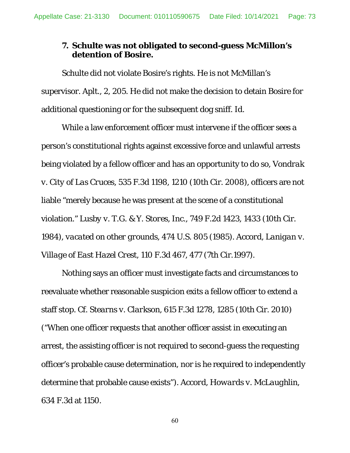# **7. Schulte was not obligated to second-guess McMillon's detention of Bosire.**

Schulte did not violate Bosire's rights. He is not McMillan's supervisor. Aplt., 2, 205. He did not make the decision to detain Bosire for additional questioning or for the subsequent dog sniff. *Id.*

While a law enforcement officer must intervene if the officer sees a person's constitutional rights against excessive force and unlawful arrests being violated by a fellow officer and has an opportunity to do so, *Vondrak v. City of Las Cruces*, 535 F.3d 1198, 1210 (10th Cir. 2008), officers are not liable "merely because he was present at the scene of a constitutional violation." *Lusby v. T.G. & Y. Stores, Inc*., 749 F.2d 1423, 1433 (10th Cir. 1984), *vacated on other grounds*, 474 U.S. 805 (1985). *Accord*, *Lanigan v. Village of East Hazel Crest*, 110 F.3d 467, 477 (7th Cir.1997).

Nothing says an officer must investigate facts and circumstances to reevaluate whether reasonable suspicion exits a fellow officer to extend a staff stop. *Cf. Stearns v. Clarkson*, 615 F.3d 1278, 1285 (10th Cir. 2010) ("When one officer requests that another officer assist in executing an arrest, the assisting officer is not required to second-guess the requesting officer's probable cause determination, nor is he required to independently determine that probable cause exists"). *Accord, Howards v. McLaughlin*, 634 F.3d at 1150.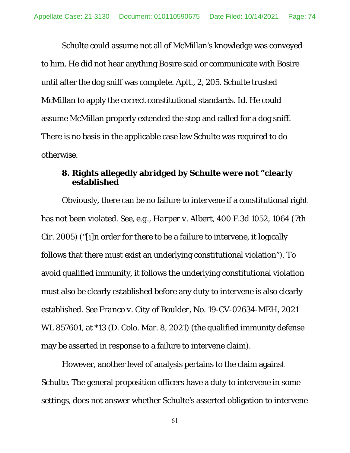Schulte could assume not all of McMillan's knowledge was conveyed to him. He did not hear anything Bosire said or communicate with Bosire until after the dog sniff was complete. Aplt., 2, 205. Schulte trusted McMillan to apply the correct constitutional standards. *Id.* He could assume McMillan properly extended the stop and called for a dog sniff. There is no basis in the applicable case law Schulte was required to do otherwise.

# **8. Rights allegedly abridged by Schulte were not "clearly established**

Obviously, there can be no failure to intervene if a constitutional right has not been violated. *See, e.g., Harper v. Albert*, 400 F.3d 1052, 1064 (7th Cir. 2005) ("[i]n order for there to be a failure to intervene, it logically follows that there must exist an underlying constitutional violation"). To avoid qualified immunity, it follows the underlying constitutional violation must also be clearly established before any duty to intervene is also clearly established. *See Franco v. City of Boulder*, No. 19-CV-02634-MEH, 2021 WL 857601, at \*13 (D. Colo. Mar. 8, 2021) (the qualified immunity defense may be asserted in response to a failure to intervene claim).

However, another level of analysis pertains to the claim against Schulte. The general proposition officers have a duty to intervene in some settings, does not answer whether Schulte's asserted obligation to intervene

61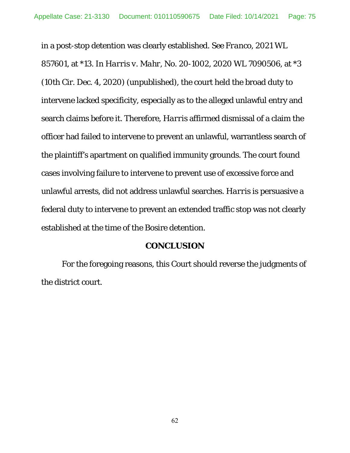in a post-stop detention was clearly established. *See Franco*, 2021 WL 857601, at \*13. In *Harris v. Mahr*, No. 20-1002, 2020 WL 7090506, at \*3 (10th Cir. Dec. 4, 2020) (unpublished), the court held the broad duty to intervene lacked specificity, especially as to the alleged unlawful entry and search claims before it. Therefore, *Harris* affirmed dismissal of a claim the officer had failed to intervene to prevent an unlawful, warrantless search of the plaintiff's apartment on qualified immunity grounds. The court found cases involving failure to intervene to prevent use of excessive force and unlawful arrests, did not address unlawful searches. *Harri*s is persuasive a federal duty to intervene to prevent an extended traffic stop was not clearly established at the time of the Bosire detention.

### **CONCLUSION**

For the foregoing reasons, this Court should reverse the judgments of the district court.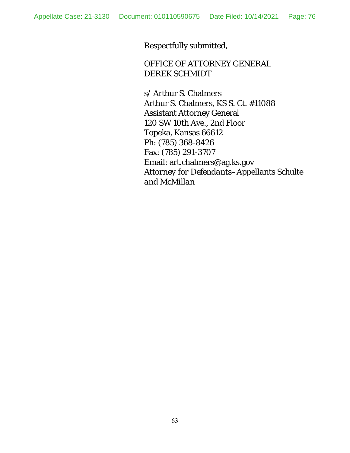Respectfully submitted,

OFFICE OF ATTORNEY GENERAL DEREK SCHMIDT

s/ Arthur S. Chalmers Arthur S. Chalmers, KS S. Ct. #11088 Assistant Attorney General 120 SW 10th Ave., 2nd Floor Topeka, Kansas 66612 Ph: (785) 368-8426 Fax: (785) 291-3707 Email: art.chalmers@ag.ks.gov *Attorney for Defendants–Appellants Schulte and McMillan*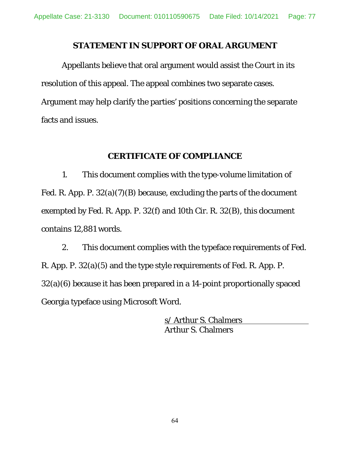## **STATEMENT IN SUPPORT OF ORAL ARGUMENT**

Appellants believe that oral argument would assist the Court in its resolution of this appeal. The appeal combines two separate cases. Argument may help clarify the parties' positions concerning the separate facts and issues.

## **CERTIFICATE OF COMPLIANCE**

1. This document complies with the type-volume limitation of Fed. R. App. P. 32(a)(7)(B) because, excluding the parts of the document exempted by Fed. R. App. P. 32(f) and 10th Cir. R. 32(B), this document contains 12,881 words.

2. This document complies with the typeface requirements of Fed. R. App. P. 32(a)(5) and the type style requirements of Fed. R. App. P. 32(a)(6) because it has been prepared in a 14-point proportionally spaced Georgia typeface using Microsoft Word.

> s/ Arthur S. Chalmers Arthur S. Chalmers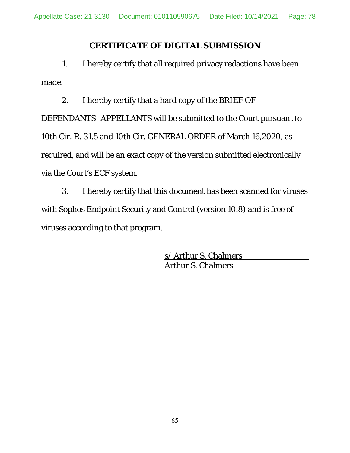## **CERTIFICATE OF DIGITAL SUBMISSION**

 1. I hereby certify that all required privacy redactions have been made.

2. I hereby certify that a hard copy of the BRIEF OF DEFENDANTS–APPELLANTS will be submitted to the Court pursuant to 10th Cir. R. 31.5 and 10th Cir. GENERAL ORDER of March 16,2020, as required, and will be an exact copy of the version submitted electronically via the Court's ECF system.

3. I hereby certify that this document has been scanned for viruses with Sophos Endpoint Security and Control (version 10.8) and is free of viruses according to that program.

> s/ Arthur S. Chalmers Arthur S. Chalmers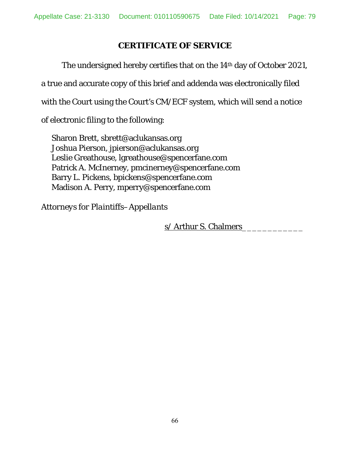# **CERTIFICATE OF SERVICE**

The undersigned hereby certifies that on the 14<sup>th</sup> day of October 2021, a true and accurate copy of this brief and addenda was electronically filed with the Court using the Court's CM/ECF system, which will send a notice of electronic filing to the following:

Sharon Brett, sbrett@aclukansas.org Joshua Pierson, jpierson@aclukansas.org Leslie Greathouse, lgreathouse@spencerfane.com Patrick A. McInerney, pmcinerney@spencerfane.com Barry L. Pickens, bpickens@spencerfane.com Madison A. Perry, mperry@spencerfane.com

*Attorneys for Plaintiffs–Appellants* 

s/ Arthur S. Chalmers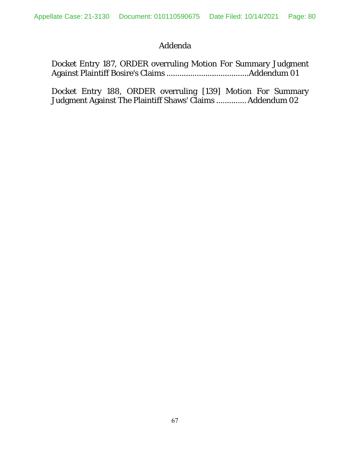# Addenda

Docket Entry 187, ORDER overruling Motion For Summary Judgment Against Plaintiff Bosire's Claims ...................................... Addendum 01

Docket Entry 188, ORDER overruling [139] Motion For Summary Judgment Against The Plaintiff Shaws' Claims .............. Addendum 02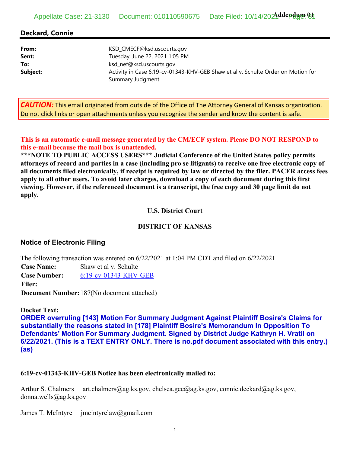## Appellate Case: 21-3130 Document: 010110590675 Date Filed: 10/14/2024ddepdum 04

## **Deckard, Connie**

| From:    | KSD_CMECF@ksd.uscourts.gov                                                       |
|----------|----------------------------------------------------------------------------------|
| Sent:    | Tuesday, June 22, 2021 1:05 PM                                                   |
| To:      | ksd_nef@ksd.uscourts.gov                                                         |
| Subject: | Activity in Case 6:19-cv-01343-KHV-GEB Shaw et al v. Schulte Order on Motion for |
|          | Summary Judgment                                                                 |

*CAUTION:* This email originated from outside of the Office of The Attorney General of Kansas organization. Do not click links or open attachments unless you recognize the sender and know the content is safe.

**This is an automatic e-mail message generated by the CM/ECF system. Please DO NOT RESPOND to this e-mail because the mail box is unattended.** 

**\*\*\*NOTE TO PUBLIC ACCESS USERS\*\*\* Judicial Conference of the United States policy permits attorneys of record and parties in a case (including pro se litigants) to receive one free electronic copy of all documents filed electronically, if receipt is required by law or directed by the filer. PACER access fees apply to all other users. To avoid later charges, download a copy of each document during this first viewing. However, if the referenced document is a transcript, the free copy and 30 page limit do not apply.**

### **U.S. District Court**

### **DISTRICT OF KANSAS**

### **Notice of Electronic Filing**

The following transaction was entered on 6/22/2021 at 1:04 PM CDT and filed on 6/22/2021 **Case Name:** Shaw et al v. Schulte **Case Number:** 6:19-cv-01343-KHV-GEB **Filer: Document Number:**187(No document attached)

#### **Docket Text:**

**ORDER overruling [143] Motion For Summary Judgment Against Plaintiff Bosire's Claims for substantially the reasons stated in [178] Plaintiff Bosire's Memorandum In Opposition To Defendants' Motion For Summary Judgment. Signed by District Judge Kathryn H. Vratil on 6/22/2021. (This is a TEXT ENTRY ONLY. There is no.pdf document associated with this entry.) (as)** 

#### **6:19-cv-01343-KHV-GEB Notice has been electronically mailed to:**

Arthur S. Chalmers art.chalmers@ag.ks.gov, chelsea.gee@ag.ks.gov, connie.deckard@ag.ks.gov, donna.wells@ag.ks.gov

James T. McIntyre jmcintyrelaw@gmail.com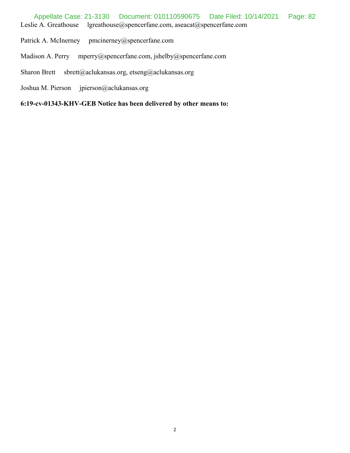- Patrick A. McInerney pmcinerney@spencerfane.com
- Madison A. Perry mperry@spencerfane.com, jshelby@spencerfane.com
- Sharon Brett sbrett@aclukansas.org, etseng@aclukansas.org
- Joshua M. Pierson jpierson@aclukansas.org

**6:19-cv-01343-KHV-GEB Notice has been delivered by other means to:**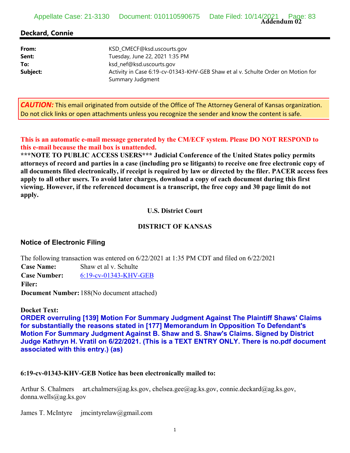**Addendum 02** Appellate Case: 21-3130 Document: 010110590675 Date Filed: 10/14/2021 Page: 83

## **Deckard, Connie**

| From:    | KSD_CMECF@ksd.uscourts.gov                                                       |
|----------|----------------------------------------------------------------------------------|
| Sent:    | Tuesday, June 22, 2021 1:35 PM                                                   |
| To:      | ksd_nef@ksd.uscourts.gov                                                         |
| Subject: | Activity in Case 6:19-cv-01343-KHV-GEB Shaw et al v. Schulte Order on Motion for |
|          | Summary Judgment                                                                 |

*CAUTION:* This email originated from outside of the Office of The Attorney General of Kansas organization. Do not click links or open attachments unless you recognize the sender and know the content is safe.

**This is an automatic e-mail message generated by the CM/ECF system. Please DO NOT RESPOND to this e-mail because the mail box is unattended.** 

**\*\*\*NOTE TO PUBLIC ACCESS USERS\*\*\* Judicial Conference of the United States policy permits attorneys of record and parties in a case (including pro se litigants) to receive one free electronic copy of all documents filed electronically, if receipt is required by law or directed by the filer. PACER access fees apply to all other users. To avoid later charges, download a copy of each document during this first viewing. However, if the referenced document is a transcript, the free copy and 30 page limit do not apply.**

#### **U.S. District Court**

#### **DISTRICT OF KANSAS**

### **Notice of Electronic Filing**

The following transaction was entered on 6/22/2021 at 1:35 PM CDT and filed on 6/22/2021 **Case Name:** Shaw et al v. Schulte **Case Number:** 6:19-cv-01343-KHV-GEB **Filer: Document Number:**188(No document attached)

#### **Docket Text:**

**ORDER overruling [139] Motion For Summary Judgment Against The Plaintiff Shaws' Claims for substantially the reasons stated in [177] Memorandum In Opposition To Defendant's Motion For Summary Judgment Against B. Shaw and S. Shaw's Claims. Signed by District Judge Kathryn H. Vratil on 6/22/2021. (This is a TEXT ENTRY ONLY. There is no.pdf document associated with this entry.) (as)** 

#### **6:19-cv-01343-KHV-GEB Notice has been electronically mailed to:**

Arthur S. Chalmers art.chalmers@ag.ks.gov, chelsea.gee@ag.ks.gov, connie.deckard@ag.ks.gov, donna.wells@ag.ks.gov

James T. McIntyre jmcintyrelaw@gmail.com